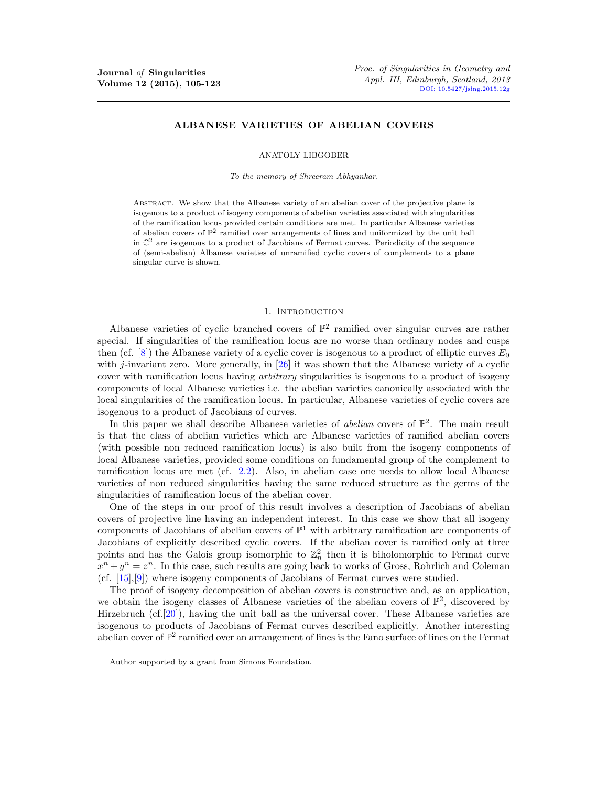# ALBANESE VARIETIES OF ABELIAN COVERS

ANATOLY LIBGOBER

To the memory of Shreeram Abhyankar.

Abstract. We show that the Albanese variety of an abelian cover of the projective plane is isogenous to a product of isogeny components of abelian varieties associated with singularities of the ramification locus provided certain conditions are met. In particular Albanese varieties of abelian covers of  $\mathbb{P}^2$  ramified over arrangements of lines and uniformized by the unit ball in  $\mathbb{C}^2$  are isogenous to a product of Jacobians of Fermat curves. Periodicity of the sequence of (semi-abelian) Albanese varieties of unramified cyclic covers of complements to a plane singular curve is shown.

## 1. INTRODUCTION

Albanese varieties of cyclic branched covers of  $\mathbb{P}^2$  ramified over singular curves are rather special. If singularities of the ramification locus are no worse than ordinary nodes and cusps then (cf.  $[8]$ ) the Albanese variety of a cyclic cover is isogenous to a product of elliptic curves  $E_0$ with j-invariant zero. More generally, in  $[26]$  it was shown that the Albanese variety of a cyclic cover with ramification locus having *arbitrary* singularities is isogenous to a product of isogeny components of local Albanese varieties i.e. the abelian varieties canonically associated with the local singularities of the ramification locus. In particular, Albanese varieties of cyclic covers are isogenous to a product of Jacobians of curves.

In this paper we shall describe Albanese varieties of *abelian* covers of  $\mathbb{P}^2$ . The main result is that the class of abelian varieties which are Albanese varieties of ramified abelian covers (with possible non reduced ramification locus) is also built from the isogeny components of local Albanese varieties, provided some conditions on fundamental group of the complement to ramification locus are met (cf. [2.2\)](#page-2-0). Also, in abelian case one needs to allow local Albanese varieties of non reduced singularities having the same reduced structure as the germs of the singularities of ramification locus of the abelian cover.

One of the steps in our proof of this result involves a description of Jacobians of abelian covers of projective line having an independent interest. In this case we show that all isogeny components of Jacobians of abelian covers of  $\mathbb{P}^1$  with arbitrary ramification are components of Jacobians of explicitly described cyclic covers. If the abelian cover is ramified only at three points and has the Galois group isomorphic to  $\mathbb{Z}_n^2$  then it is biholomorphic to Fermat curve  $x^n + y^n = z^n$ . In this case, such results are going back to works of Gross, Rohrlich and Coleman (cf. [\[15\]](#page-17-2),[\[9\]](#page-17-3)) where isogeny components of Jacobians of Fermat curves were studied.

The proof of isogeny decomposition of abelian covers is constructive and, as an application, we obtain the isogeny classes of Albanese varieties of the abelian covers of  $\mathbb{P}^2$ , discovered by Hirzebruch (cf.[\[20\]](#page-17-4)), having the unit ball as the universal cover. These Albanese varieties are isogenous to products of Jacobians of Fermat curves described explicitly. Another interesting abelian cover of  $\mathbb{P}^2$  ramified over an arrangement of lines is the Fano surface of lines on the Fermat

Author supported by a grant from Simons Foundation.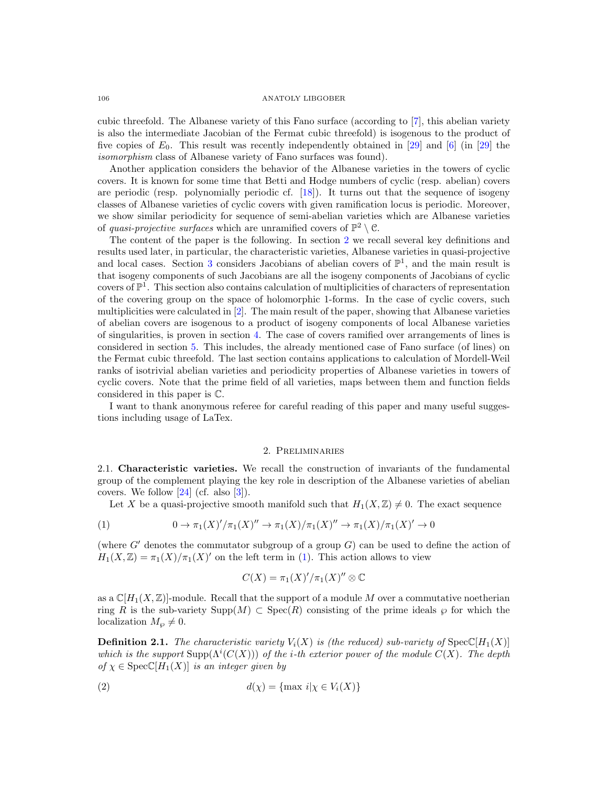cubic threefold. The Albanese variety of this Fano surface (according to [\[7\]](#page-17-5), this abelian variety is also the intermediate Jacobian of the Fermat cubic threefold) is isogenous to the product of five copies of  $E_0$ . This result was recently independently obtained in [\[29\]](#page-18-0) and [\[6\]](#page-17-6) (in [29] the isomorphism class of Albanese variety of Fano surfaces was found).

Another application considers the behavior of the Albanese varieties in the towers of cyclic covers. It is known for some time that Betti and Hodge numbers of cyclic (resp. abelian) covers are periodic (resp. polynomially periodic cf. [\[18\]](#page-17-7)). It turns out that the sequence of isogeny classes of Albanese varieties of cyclic covers with given ramification locus is periodic. Moreover, we show similar periodicity for sequence of semi-abelian varieties which are Albanese varieties of quasi-projective surfaces which are unramified covers of  $\mathbb{P}^2 \setminus \mathcal{C}$ .

The content of the paper is the following. In section [2](#page-1-0) we recall several key definitions and results used later, in particular, the characteristic varieties, Albanese varieties in quasi-projective and local cases. Section [3](#page-5-0) considers Jacobians of abelian covers of  $\mathbb{P}^1$ , and the main result is that isogeny components of such Jacobians are all the isogeny components of Jacobians of cyclic covers of  $\mathbb{P}^1$ . This section also contains calculation of multiplicities of characters of representation of the covering group on the space of holomorphic 1-forms. In the case of cyclic covers, such multiplicities were calculated in [\[2\]](#page-17-8). The main result of the paper, showing that Albanese varieties of abelian covers are isogenous to a product of isogeny components of local Albanese varieties of singularities, is proven in section [4.](#page-9-0) The case of covers ramified over arrangements of lines is considered in section [5.](#page-12-0) This includes, the already mentioned case of Fano surface (of lines) on the Fermat cubic threefold. The last section contains applications to calculation of Mordell-Weil ranks of isotrivial abelian varieties and periodicity properties of Albanese varieties in towers of cyclic covers. Note that the prime field of all varieties, maps between them and function fields considered in this paper is C.

I want to thank anonymous referee for careful reading of this paper and many useful suggestions including usage of LaTex.

### 2. Preliminaries

<span id="page-1-0"></span>2.1. Characteristic varieties. We recall the construction of invariants of the fundamental group of the complement playing the key role in description of the Albanese varieties of abelian covers. We follow  $[24]$  (cf. also  $[3]$ ).

<span id="page-1-1"></span>Let X be a quasi-projective smooth manifold such that  $H_1(X, \mathbb{Z}) \neq 0$ . The exact sequence

(1) 
$$
0 \to \pi_1(X)'/\pi_1(X)'' \to \pi_1(X)/\pi_1(X)'' \to \pi_1(X)/\pi_1(X)' \to 0
$$

(where  $G'$  denotes the commutator subgroup of a group  $G$ ) can be used to define the action of  $H_1(X,\mathbb{Z}) = \pi_1(X)/\pi_1(X)'$  on the left term in [\(1\)](#page-1-1). This action allows to view

$$
C(X) = \pi_1(X)'/\pi_1(X)'' \otimes \mathbb{C}
$$

as a  $\mathbb{C}[H_1(X,\mathbb{Z})]$ -module. Recall that the support of a module M over a commutative noetherian ring R is the sub-variety  $\text{Supp}(M) \subset \text{Spec}(R)$  consisting of the prime ideals  $\wp$  for which the localization  $M_{\varphi} \neq 0$ .

<span id="page-1-2"></span>**Definition 2.1.** The characteristic variety  $V_i(X)$  is (the reduced) sub-variety of  $Spec([H_1(X))]$ which is the support  $\text{Supp}(\Lambda^i(C(X)))$  of the *i*-th exterior power of the module  $C(X)$ . The depth of  $\chi \in \text{Spec } \mathbb{C}[H_1(X)]$  is an integer given by

$$
d(\chi) = \{\max i | \chi \in V_i(X)\}
$$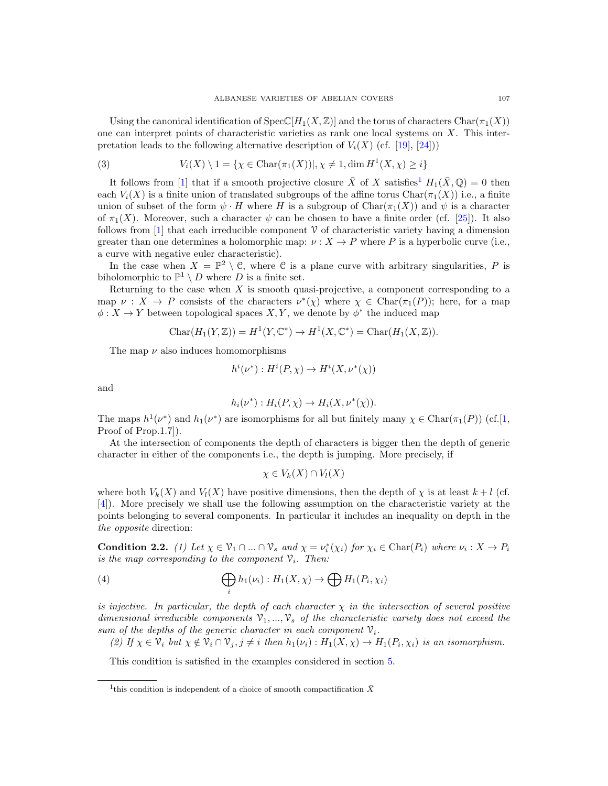Using the canonical identification of  $Spec([H_1(X,\mathbb{Z})])$  and the torus of characters  $Char(\pi_1(X))$ one can interpret points of characteristic varieties as rank one local systems on X. This interpretation leads to the following alternative description of  $V_i(X)$  (cf. [\[19\]](#page-17-11), [\[24\]](#page-17-9)))

(3) 
$$
V_i(X) \setminus 1 = \{ \chi \in \text{Char}(\pi_1(X)) |, \chi \neq 1, \dim H^1(X, \chi) \geq i \}
$$

It follows from [\[1\]](#page-17-12) that if a smooth projective closure  $\bar{X}$  of X satisfies<sup>[1](#page-2-1)</sup>  $H_1(\bar{X}, \mathbb{Q}) = 0$  then each  $V_i(X)$  is a finite union of translated subgroups of the affine torus Char $(\pi_1(X))$  i.e., a finite union of subset of the form  $\psi \cdot H$  where H is a subgroup of Char $(\pi_1(X))$  and  $\psi$  is a character of  $\pi_1(X)$ . Moreover, such a character  $\psi$  can be chosen to have a finite order (cf. [\[25\]](#page-17-13)). It also follows from  $[1]$  that each irreducible component  $\mathcal V$  of characteristic variety having a dimension greater than one determines a holomorphic map:  $\nu : X \to P$  where P is a hyperbolic curve (i.e., a curve with negative euler characteristic).

In the case when  $X = \mathbb{P}^2 \setminus \mathcal{C}$ , where  $\mathcal{C}$  is a plane curve with arbitrary singularities, P is biholomorphic to  $\mathbb{P}^1 \setminus D$  where D is a finite set.

Returning to the case when  $X$  is smooth quasi-projective, a component corresponding to a map  $\nu : X \to P$  consists of the characters  $\nu^*(\chi)$  where  $\chi \in \text{Char}(\pi_1(P))$ ; here, for a map  $\phi: X \to Y$  between topological spaces  $X, Y$ , we denote by  $\phi^*$  the induced map

$$
Char(H_1(Y, \mathbb{Z})) = H^1(Y, \mathbb{C}^*) \to H^1(X, \mathbb{C}^*) = Char(H_1(X, \mathbb{Z})).
$$

The map  $\nu$  also induces homomorphisms

$$
h^i(\nu^*): H^i(P, \chi) \to H^i(X, \nu^*(\chi))
$$

and

$$
h_i(\nu^*): H_i(P, \chi) \to H_i(X, \nu^*(\chi)).
$$

The maps  $h^1(\nu^*)$  and  $h_1(\nu^*)$  are isomorphisms for all but finitely many  $\chi \in \text{Char}(\pi_1(P))$  (cf.[\[1,](#page-17-12) Proof of Prop.1.7]).

At the intersection of components the depth of characters is bigger then the depth of generic character in either of the components i.e., the depth is jumping. More precisely, if

$$
\chi \in V_k(X) \cap V_l(X)
$$

where both  $V_k(X)$  and  $V_l(X)$  have positive dimensions, then the depth of x is at least  $k+l$  (cf. [\[4\]](#page-17-14)). More precisely we shall use the following assumption on the characteristic variety at the points belonging to several components. In particular it includes an inequality on depth in the the opposite direction:

<span id="page-2-0"></span>**Condition 2.2.** (1) Let  $\chi \in \mathcal{V}_1 \cap ... \cap \mathcal{V}_s$  and  $\chi = \nu_i^*(\chi_i)$  for  $\chi_i \in \text{Char}(P_i)$  where  $\nu_i : X \to P_i$ is the map corresponding to the component  $\mathcal{V}_i$ . Then:

(4) 
$$
\bigoplus_i h_1(\nu_i) : H_1(X, \chi) \to \bigoplus H_1(P_i, \chi_i)
$$

is injective. In particular, the depth of each character  $\chi$  in the intersection of several positive dimensional irreducible components  $\mathcal{V}_1, ..., \mathcal{V}_s$  of the characteristic variety does not exceed the sum of the depths of the generic character in each component  $\mathcal{V}_i$ .

(2) If  $\chi \in \mathcal{V}_i$  but  $\chi \notin \mathcal{V}_i \cap \mathcal{V}_j, j \neq i$  then  $h_1(\nu_i) : H_1(X, \chi) \to H_1(P_i, \chi_i)$  is an isomorphism.

This condition is satisfied in the examples considered in section [5.](#page-12-0)

<span id="page-2-1"></span><sup>&</sup>lt;sup>1</sup>this condition is independent of a choice of smooth compactification  $\bar{X}$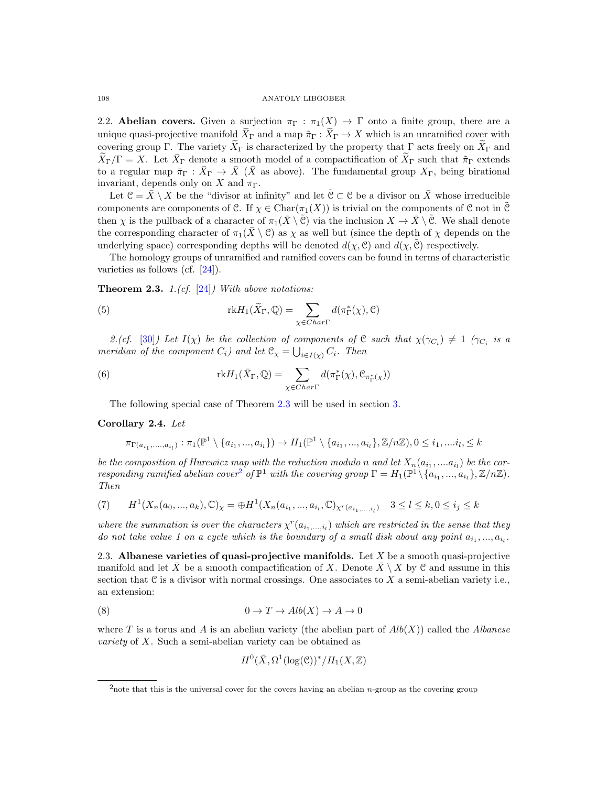2.2. Abelian covers. Given a surjection  $\pi_{\Gamma} : \pi_1(X) \to \Gamma$  onto a finite group, there are a unique quasi-projective manifold  $\tilde{X}_{\Gamma}$  and a map  $\tilde{\pi}_{\Gamma}: \tilde{X}_{\Gamma} \to X$  which is an unramified cover with covering group Γ. The variety  $\widetilde{X}_{\Gamma}$  is characterized by the property that Γ acts freely on  $\widetilde{X}_{\Gamma}$  and  $\widetilde{X}_{\Gamma}/\Gamma = X$ . Let  $\bar{X}_{\Gamma}$  denote a smooth model of a compactification of  $\widetilde{X}_{\Gamma}$  such that  $\widetilde{\pi}_{\Gamma}$  extends to a regular map  $\bar{\pi}_{\Gamma}: \bar{X}_{\Gamma} \to \bar{X}$  ( $\bar{X}$  as above). The fundamental group  $X_{\Gamma}$ , being birational invariant, depends only on X and  $\pi_{\Gamma}$ .

Let  $\mathcal{C} = \bar{X} \setminus X$  be the "divisor at infinity" and let  $\bar{\mathcal{C}} \subset \mathcal{C}$  be a divisor on  $\bar{X}$  whose irreducible components are components of C. If  $\chi \in \text{Char}(\pi_1(X))$  is trivial on the components of C not in C then  $\chi$  is the pullback of a character of  $\pi_1(\bar{X} \setminus \tilde{C})$  via the inclusion  $X \to \bar{X} \setminus \tilde{C}$ . We shall denote the corresponding character of  $\pi_1(\bar{X} \setminus \mathcal{C})$  as  $\chi$  as well but (since the depth of  $\chi$  depends on the underlying space) corresponding depths will be denoted  $d(\chi, \mathcal{C})$  and  $d(\chi, \mathcal{C})$  respectively.

The homology groups of unramified and ramified covers can be found in terms of characteristic varieties as follows (cf. [\[24\]](#page-17-9)).

<span id="page-3-0"></span>**Theorem 2.3.** 1.(cf.  $[24]$ ) With above notations:

(5) 
$$
\text{rk} H_1(\widetilde{X}_{\Gamma}, \mathbb{Q}) = \sum_{\chi \in Char \Gamma} d(\pi_{\Gamma}^*(\chi), \mathbb{C})
$$

2.(cf. [\[30\]](#page-18-1)) Let  $I(\chi)$  be the collection of components of C such that  $\chi(\gamma_{C_i}) \neq 1$  ( $\gamma_{C_i}$  is a meridian of the component  $C_i$ ) and let  $\mathfrak{C}_{\chi} = \bigcup_{i \in I(\chi)} C_i$ . Then

(6) 
$$
\text{rk} H_1(\bar{X}_{\Gamma}, \mathbb{Q}) = \sum_{\chi \in Char\Gamma} d(\pi_{\Gamma}^*(\chi), \mathcal{C}_{\pi_{\Gamma}^*(\chi)})
$$

<span id="page-3-3"></span>The following special case of Theorem [2.3](#page-3-0) will be used in section [3.](#page-5-0)

### Corollary 2.4. Let

$$
\pi_{\Gamma(a_{i_1},...,a_{i_l})}:\pi_1(\mathbb{P}^1\setminus\{a_{i_1},...,a_{i_l}\})\to H_1(\mathbb{P}^1\setminus\{a_{i_1},...,a_{i_l}\},\mathbb{Z}/n\mathbb{Z}), 0\leq i_1,...i_l,\leq k
$$

be the composition of Hurewicz map with the reduction modulo n and let  $X_n(a_{i_1},...a_{i_l})$  be the cor-responding ramified abelian cover<sup>[2](#page-3-1)</sup> of  $\mathbb{P}^1$  with the covering group  $\Gamma = H_1(\mathbb{P}^1 \setminus \{a_{i_1},...,a_{i_l}\}, \mathbb{Z}/n\mathbb{Z})$ . Then

$$
(7) \qquad H^1(X_n(a_0, ..., a_k), \mathbb{C})_\chi = \bigoplus H^1(X_n(a_{i_1}, ..., a_{i_l}, \mathbb{C})_{\chi^r(a_{i_1}, ..., a_l)} \quad 3 \le l \le k, 0 \le i_j \le k
$$

where the summation is over the characters  $\chi^r(a_{i_1,\ldots,i_l})$  which are restricted in the sense that they do not take value 1 on a cycle which is the boundary of a small disk about any point  $a_{i_1},...,a_{i_l}$ .

<span id="page-3-2"></span>2.3. Albanese varieties of quasi-projective manifolds. Let  $X$  be a smooth quasi-projective manifold and let  $\bar{X}$  be a smooth compactification of X. Denote  $\bar{X} \setminus X$  by C and assume in this section that  $\mathfrak C$  is a divisor with normal crossings. One associates to X a semi-abelian variety i.e., an extension:

$$
(8) \t\t 0 \to T \to Alb(X) \to A \to 0
$$

where T is a torus and A is an abelian variety (the abelian part of  $Alb(X)$ ) called the Albanese variety of X. Such a semi-abelian variety can be obtained as

$$
H^0(\bar{X}, \Omega^1(\log(\mathcal{C}))^*/H_1(X,\mathbb{Z})
$$

<span id="page-3-1"></span><sup>&</sup>lt;sup>2</sup>note that this is the universal cover for the covers having an abelian *n*-group as the covering group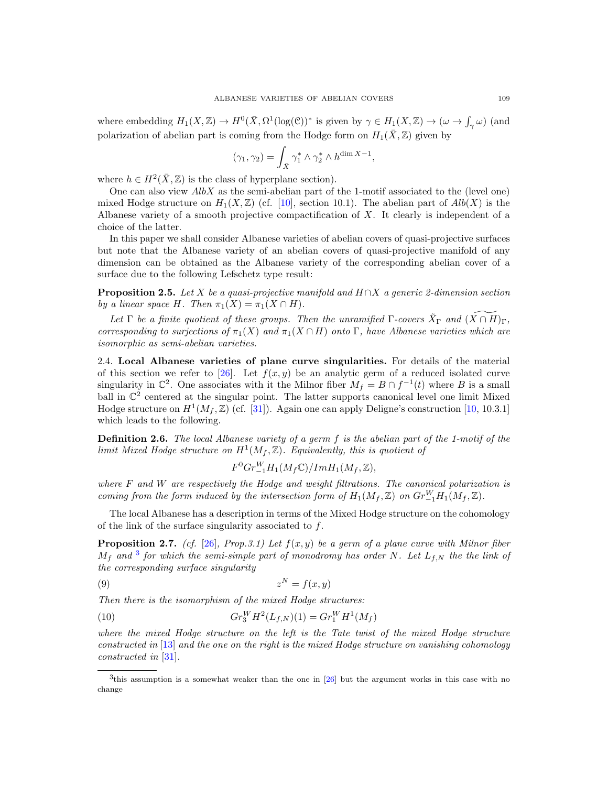where embedding  $H_1(X,\mathbb{Z}) \to H^0(\bar{X}, \Omega^1(\log(\mathbb{C}))^*$  is given by  $\gamma \in H_1(X,\mathbb{Z}) \to (\omega \to \int_{\gamma} \omega)$  (and polarization of abelian part is coming from the Hodge form on  $H_1(\bar{X}, \mathbb{Z})$  given by

$$
(\gamma_1,\gamma_2)=\int_{\bar X}\gamma_1^*\wedge\gamma_2^*\wedge h^{\dim X-1},
$$

where  $h \in H^2(\bar{X}, \mathbb{Z})$  is the class of hyperplane section).

One can also view  $AlbX$  as the semi-abelian part of the 1-motif associated to the (level one) mixed Hodge structure on  $H_1(X,\mathbb{Z})$  (cf. [\[10\]](#page-17-15), section 10.1). The abelian part of  $Alb(X)$  is the Albanese variety of a smooth projective compactification of X. It clearly is independent of a choice of the latter.

In this paper we shall consider Albanese varieties of abelian covers of quasi-projective surfaces but note that the Albanese variety of an abelian covers of quasi-projective manifold of any dimension can be obtained as the Albanese variety of the corresponding abelian cover of a surface due to the following Lefschetz type result:

**Proposition 2.5.** Let X be a quasi-projective manifold and  $H \cap X$  a generic 2-dimension section by a linear space H. Then  $\pi_1(X) = \pi_1(X \cap H)$ .

Let  $\Gamma$  be a finite quotient of these groups. Then the unramified  $\Gamma$ -covers  $\tilde{X}_{\Gamma}$  and  $(\widetilde{X \cap H})_{\Gamma}$ , corresponding to surjections of  $\pi_1(X)$  and  $\pi_1(X \cap H)$  onto Γ, have Albanese varieties which are isomorphic as semi-abelian varieties.

2.4. Local Albanese varieties of plane curve singularities. For details of the material of this section we refer to [\[26\]](#page-17-1). Let  $f(x, y)$  be an analytic germ of a reduced isolated curve singularity in  $\mathbb{C}^2$ . One associates with it the Milnor fiber  $M_f = B \cap f^{-1}(t)$  where B is a small ball in  $\mathbb{C}^2$  centered at the singular point. The latter supports canonical level one limit Mixed Hodge structure on  $H^1(M_f, \mathbb{Z})$  (cf. [\[31\]](#page-18-2)). Again one can apply Deligne's construction [\[10,](#page-17-15) 10.3.1] which leads to the following.

Definition 2.6. The local Albanese variety of a germ f is the abelian part of the 1-motif of the limit Mixed Hodge structure on  $H^1(M_f, \mathbb{Z})$ . Equivalently, this is quotient of

<span id="page-4-1"></span> $F^0Gr_{-1}^WH_1(M_f\mathbb{C})/ImH_1(M_f,\mathbb{Z}),$ 

where  $F$  and  $W$  are respectively the Hodge and weight filtrations. The canonical polarization is coming from the form induced by the intersection form of  $H_1(M_f, \mathbb{Z})$  on  $Gr_{-1}^WH_1(M_f, \mathbb{Z})$ .

The local Albanese has a description in terms of the Mixed Hodge structure on the cohomology of the link of the surface singularity associated to f.

**Proposition 2.7.** (cf. [\[26\]](#page-17-1), Prop.3.1) Let  $f(x, y)$  be a germ of a plane curve with Milnor fiber  $M_f$  and <sup>[3](#page-4-0)</sup> for which the semi-simple part of monodromy has order N. Let  $L_{f,N}$  the the link of the corresponding surface singularity

$$
(9) \t\t\t z^N = f(x, y)
$$

Then there is the isomorphism of the mixed Hodge structures:

(10) 
$$
Gr_3^W H^2(L_{f,N})(1) = Gr_1^W H^1(M_f)
$$

where the mixed Hodge structure on the left is the Tate twist of the mixed Hodge structure constructed in [\[13\]](#page-17-16) and the one on the right is the mixed Hodge structure on vanishing cohomology constructed in [\[31\]](#page-18-2).

<span id="page-4-0"></span><sup>&</sup>lt;sup>3</sup>this assumption is a somewhat weaker than the one in [\[26\]](#page-17-1) but the argument works in this case with no change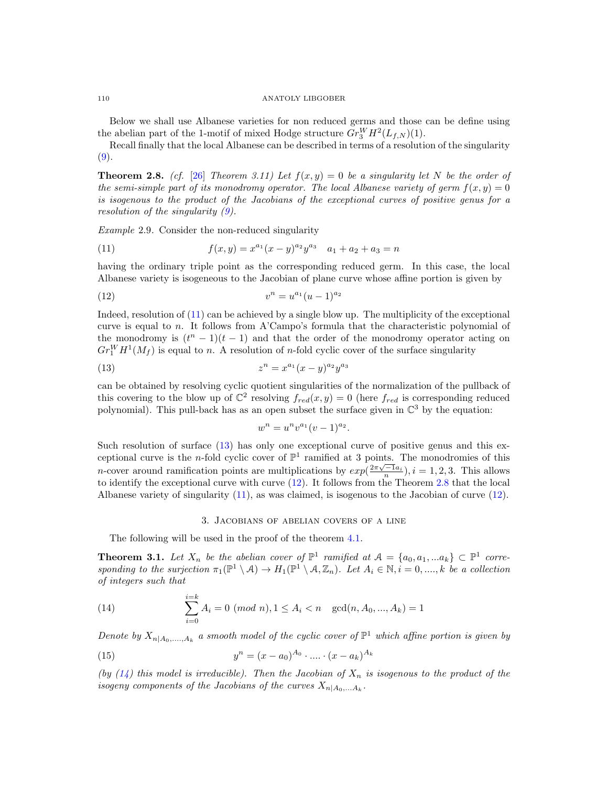Below we shall use Albanese varieties for non reduced germs and those can be define using the abelian part of the 1-motif of mixed Hodge structure  $Gr_{3}^{W}H^{2}(L_{f,N})(1)$ .

Recall finally that the local Albanese can be described in terms of a resolution of the singularity  $(9).$  $(9).$ 

<span id="page-5-4"></span>**Theorem 2.8.** (cf. [\[26\]](#page-17-1) Theorem 3.11) Let  $f(x, y) = 0$  be a singularity let N be the order of the semi-simple part of its monodromy operator. The local Albanese variety of germ  $f(x, y) = 0$ is isogenous to the product of the Jacobians of the exceptional curves of positive genus for a resolution of the singularity [\(9\)](#page-4-1).

<span id="page-5-8"></span>Example 2.9. Consider the non-reduced singularity

<span id="page-5-1"></span>(11) 
$$
f(x,y) = x^{a_1}(x-y)^{a_2}y^{a_3} \quad a_1 + a_2 + a_3 = n
$$

having the ordinary triple point as the corresponding reduced germ. In this case, the local Albanese variety is isogeneous to the Jacobian of plane curve whose affine portion is given by

(12) 
$$
v^n = u^{a_1}(u-1)^{a_2}
$$

Indeed, resolution of [\(11\)](#page-5-1) can be achieved by a single blow up. The multiplicity of the exceptional curve is equal to n. It follows from A'Campo's formula that the characteristic polynomial of the monodromy is  $(t^{n} - 1)(t - 1)$  and that the order of the monodromy operator acting on  $Gr_1^WH^1(M_f)$  is equal to n. A resolution of n-fold cyclic cover of the surface singularity

(13) 
$$
z^n = x^{a_1}(x - y)^{a_2}y^{a_3}
$$

can be obtained by resolving cyclic quotient singularities of the normalization of the pullback of this covering to the blow up of  $\mathbb{C}^2$  resolving  $f_{red}(x, y) = 0$  (here  $f_{red}$  is corresponding reduced polynomial). This pull-back has as an open subset the surface given in  $\mathbb{C}^3$  by the equation:

<span id="page-5-3"></span><span id="page-5-2"></span>
$$
w^n = u^n v^{a_1} (v - 1)^{a_2}.
$$

Such resolution of surface [\(13\)](#page-5-2) has only one exceptional curve of positive genus and this exceptional curve is the *n*-fold cyclic cover of  $\mathbb{P}^1$  ramified at 3 points. The monodromies of this *n*-cover around ramification points are multiplications by  $exp(\frac{2\pi\sqrt{-1}a_i}{n}), i = 1, 2, 3$ . This allows to identify the exceptional curve with curve [\(12\)](#page-5-3). It follows from the Theorem [2.8](#page-5-4) that the local Albanese variety of singularity [\(11\)](#page-5-1), as was claimed, is isogenous to the Jacobian of curve [\(12\)](#page-5-3).

### <span id="page-5-6"></span><span id="page-5-5"></span>3. Jacobians of abelian covers of a line

<span id="page-5-0"></span>The following will be used in the proof of the theorem [4.1.](#page-9-1)

<span id="page-5-7"></span>**Theorem 3.1.** Let  $X_n$  be the abelian cover of  $\mathbb{P}^1$  ramified at  $\mathcal{A} = \{a_0, a_1, ... a_k\} \subset \mathbb{P}^1$  corresponding to the surjection  $\pi_1(\mathbb{P}^1 \setminus \mathcal{A}) \to H_1(\mathbb{P}^1 \setminus \mathcal{A}, \mathbb{Z}_n)$ . Let  $A_i \in \mathbb{N}, i = 0, ..., k$  be a collection of integers such that

(14) 
$$
\sum_{i=0}^{i=k} A_i = 0 \ (mod \ n), 1 \le A_i < n \ \ \gcd(n, A_0, \dots, A_k) = 1
$$

Denote by  $X_{n|A_0,...,A_k}$  a smooth model of the cyclic cover of  $\mathbb{P}^1$  which affine portion is given by

(15) 
$$
y^{n} = (x - a_{0})^{A_{0}} \cdot \ldots \cdot (x - a_{k})^{A_{k}}
$$

(by  $(14)$  this model is irreducible). Then the Jacobian of  $X_n$  is isogenous to the product of the isogeny components of the Jacobians of the curves  $X_{n|A_0,...A_k}$ .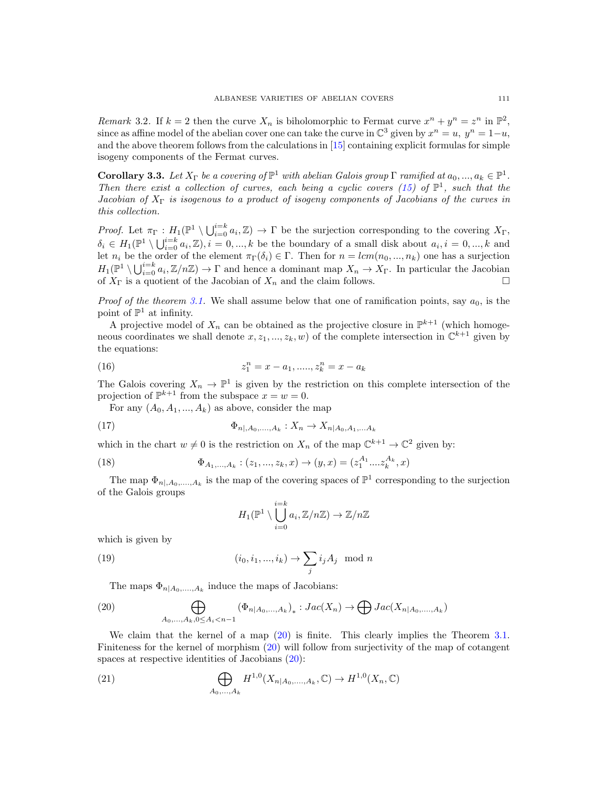<span id="page-6-4"></span>Remark 3.2. If  $k = 2$  then the curve  $X_n$  is biholomorphic to Fermat curve  $x^n + y^n = z^n$  in  $\mathbb{P}^2$ , since as affine model of the abelian cover one can take the curve in  $\mathbb{C}^3$  given by  $x^n = u$ ,  $y^n = 1-u$ , and the above theorem follows from the calculations in [\[15\]](#page-17-2) containing explicit formulas for simple isogeny components of the Fermat curves.

<span id="page-6-3"></span>**Corollary 3.3.** Let  $X_{\Gamma}$  be a covering of  $\mathbb{P}^1$  with abelian Galois group  $\Gamma$  ramified at  $a_0, ..., a_k \in \mathbb{P}^1$ . Then there exist a collection of curves, each being a cyclic covers [\(15\)](#page-5-6) of  $\mathbb{P}^1$ , such that the Jacobian of  $X_{\Gamma}$  is isogenous to a product of isogeny components of Jacobians of the curves in this collection.

Proof. Let  $\pi_{\Gamma}: H_1(\mathbb{P}^1 \setminus \bigcup_{i=0}^{i=k} a_i, \mathbb{Z}) \to \Gamma$  be the surjection corresponding to the covering  $X_{\Gamma}$ ,  $\delta_i \in H_1(\mathbb{P}^1 \setminus \bigcup_{i=0}^{i=k} a_i, \mathbb{Z}), i = 0, ..., k$  be the boundary of a small disk about  $a_i, i = 0, ..., k$  and let  $n_i$  be the order of the element  $\pi_{\Gamma}(\delta_i) \in \Gamma$ . Then for  $n = lcm(n_0, ..., n_k)$  one has a surjection  $H_1(\mathbb{P}^1 \setminus \bigcup_{i=0}^{i=k} a_i, \mathbb{Z}/n\mathbb{Z}) \to \Gamma$  and hence a dominant map  $X_n \to X_{\Gamma}$ . In particular the Jacobian of  $X_{\Gamma}$  is a quotient of the Jacobian of  $X_n$  and the claim follows.

*Proof of the theorem [3.1.](#page-5-7)* We shall assume below that one of ramification points, say  $a_0$ , is the point of  $\mathbb{P}^1$  at infinity.

A projective model of  $X_n$  can be obtained as the projective closure in  $\mathbb{P}^{k+1}$  (which homogeneous coordinates we shall denote  $x, z_1, ..., z_k, w$  of the complete intersection in  $\mathbb{C}^{k+1}$  given by the equations:

<span id="page-6-2"></span>(16) 
$$
z_1^n = x - a_1, \dots, z_k^n = x - a_k
$$

The Galois covering  $X_n \to \mathbb{P}^1$  is given by the restriction on this complete intersection of the projection of  $\mathbb{P}^{k+1}$  from the subspace  $x = w = 0$ .

For any  $(A_0, A_1, ..., A_k)$  as above, consider the map

(17) 
$$
\Phi_{n|,A_0,...,A_k}: X_n \to X_{n|A_0,A_1,...A_k}
$$

which in the chart  $w \neq 0$  is the restriction on  $X_n$  of the map  $\mathbb{C}^{k+1} \to \mathbb{C}^2$  given by:

(18) 
$$
\Phi_{A_1,...,A_k} : (z_1,...,z_k,x) \to (y,x) = (z_1^{A_1}....z_k^{A_k},x)
$$

The map  $\Phi_{n_1, A_0, ..., A_k}$  is the map of the covering spaces of  $\mathbb{P}^1$  corresponding to the surjection of the Galois groups

$$
H_1(\mathbb{P}^1 \setminus \bigcup_{i=0}^{i=k} a_i, \mathbb{Z}/n\mathbb{Z}) \to \mathbb{Z}/n\mathbb{Z}
$$

which is given by

(19) 
$$
(i_0, i_1, ..., i_k) \rightarrow \sum_j i_j A_j \mod n
$$

<span id="page-6-0"></span>The maps  $\Phi_{n|A_0,\ldots,A_k}$  induce the maps of Jacobians:

(20) 
$$
\bigoplus_{A_0,...,A_k,0\le A_i
$$

We claim that the kernel of a map  $(20)$  is finite. This clearly implies the Theorem [3.1.](#page-5-7) Finiteness for the kernel of morphism [\(20\)](#page-6-0) will follow from surjectivity of the map of cotangent spaces at respective identities of Jacobians [\(20\)](#page-6-0):

<span id="page-6-1"></span>(21) 
$$
\bigoplus_{A_0,...,A_k} H^{1,0}(X_{n|A_0,...,A_k}, \mathbb{C}) \to H^{1,0}(X_n, \mathbb{C})
$$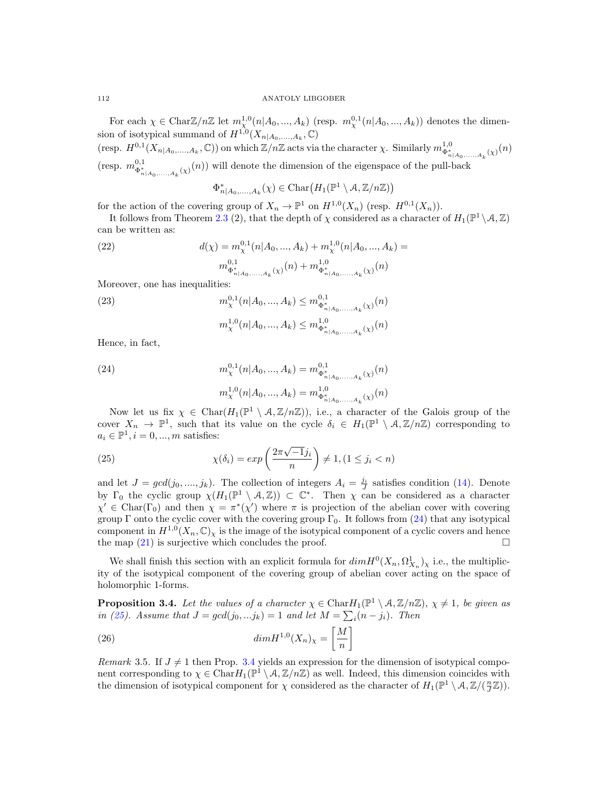For each  $\chi \in \text{Char} \mathbb{Z}/n\mathbb{Z}$  let  $m_{\chi}^{1,0}(n|A_0, ..., A_k)$  (resp.  $m_{\chi}^{0,1}(n|A_0, ..., A_k)$ ) denotes the dimension of isotypical summand of  $H^{1,0}(X_{n|A_0,\ldots,A_k},\mathbb{C})$ 

(resp.  $H^{0,1}(X_{n|A_0,\ldots,A_k},\mathbb{C})$ ) on which  $\mathbb{Z}/n\mathbb{Z}$  acts via the character  $\chi$ . Similarly  $m_{\Phi_{n|A_0,\ldots,A_k}^{*}(\chi)}^{1,0}(n)$ (resp.  $m_{\Phi_{n|A_0,...,A_k}^{\delta,1}(\chi)}^{0,1}(n)$ ) will denote the dimension of the eigenspace of the pull-back

$$
\Phi^*_{n|A_0,\ldots,A_k}(\chi) \in \mathrm{Char}\big(H_1(\mathbb{P}^1\setminus A,\mathbb{Z}/n\mathbb{Z})\big)
$$

for the action of the covering group of  $X_n \to \mathbb{P}^1$  on  $H^{1,0}(X_n)$  (resp.  $H^{0,1}(X_n)$ ).

It follows from Theorem [2.3](#page-3-0) (2), that the depth of  $\chi$  considered as a character of  $H_1(\mathbb{P}^1 \setminus \mathcal{A}, \mathbb{Z})$ can be written as:

(22) 
$$
d(\chi) = m_{\chi}^{0,1}(n|A_0, ..., A_k) + m_{\chi}^{1,0}(n|A_0, ..., A_k) =
$$

$$
m_{\Phi_{n|A_0,...,A_k}^{\dagger}}^{0,1}(\chi)(n) + m_{\Phi_{n|A_0,...,A_k}^{\dagger}}^{1,0}(\chi)(n)
$$

Moreover, one has inequalities:

(23) 
$$
m_{\chi}^{0,1}(n|A_0, ..., A_k) \le m_{\Phi_{n|A_0,...,A_k}^*(\chi)}^{0,1}(n)
$$

$$
m_{\chi}^{1,0}(n|A_0, ..., A_k) \le m_{\Phi_{n|A_0,...,A_k}^*(\chi)}^{1,0}(n)
$$

Hence, in fact,

<span id="page-7-0"></span>(24) 
$$
m_{\chi}^{0,1}(n|A_0, ..., A_k) = m_{\Phi_{n|A_0, ..., A_k}^{*}(\chi)}^{0,1}(n)
$$

$$
m_{\chi}^{1,0}(n|A_0, ..., A_k) = m_{\Phi_{n|A_0, ..., A_k}^{1,0}(\chi)}^{0,1}(n)
$$

Now let us fix  $\chi \in \text{Char}(H_1(\mathbb{P}^1 \setminus A, \mathbb{Z}/n\mathbb{Z}))$ , i.e., a character of the Galois group of the cover  $X_n \to \mathbb{P}^1$ , such that its value on the cycle  $\delta_i \in H_1(\mathbb{P}^1 \setminus A, \mathbb{Z}/n\mathbb{Z})$  corresponding to  $a_i \in \mathbb{P}^1, i = 0, ..., m$  satisfies:

<span id="page-7-1"></span>(25) 
$$
\chi(\delta_i) = exp\left(\frac{2\pi\sqrt{-1}j_i}{n}\right) \neq 1, (1 \leq j_i < n)
$$

and let  $J = gcd(j_0, ..., j_k)$ . The collection of integers  $A_i = \frac{j_i}{J}$  satisfies condition [\(14\)](#page-5-5). Denote by  $\Gamma_0$  the cyclic group  $\chi(H_1(\mathbb{P}^1 \setminus A,\mathbb{Z})) \subset \mathbb{C}^*$ . Then  $\chi$  can be considered as a character  $\chi' \in \text{Char}(\Gamma_0)$  and then  $\chi = \pi^*(\chi')$  where  $\pi$  is projection of the abelian cover with covering group Γ onto the cyclic cover with the covering group Γ<sub>0</sub>. It follows from [\(24\)](#page-7-0) that any isotypical component in  $H^{1,0}(X_n,\mathbb{C})_\chi$  is the image of the isotypical component of a cyclic covers and hence the map  $(21)$  is surjective which concludes the proof.

We shall finish this section with an explicit formula for  $dim H^0(X_n, \Omega^1_{X_n})_\chi$  i.e., the multiplicity of the isotypical component of the covering group of abelian cover acting on the space of holomorphic 1-forms.

<span id="page-7-2"></span>**Proposition 3.4.** Let the values of a character  $\chi \in \text{Char}H_1(\mathbb{P}^1 \setminus A, \mathbb{Z}/n\mathbb{Z})$ ,  $\chi \neq 1$ , be given as in [\(25\)](#page-7-1). Assume that  $J = gcd(j_0, ... j_k) = 1$  and let  $M = \sum_i (n - j_i)$ . Then

<span id="page-7-3"></span>(26) 
$$
\dim H^{1,0}(X_n)_{\chi} = \left[\frac{M}{n}\right]
$$

Remark 3.5. If  $J \neq 1$  then Prop. [3.4](#page-7-2) yields an expression for the dimension of isotypical component corresponding to  $\chi \in \text{Char} H_1(\mathbb{P}^1 \setminus A, \mathbb{Z}/n\mathbb{Z})$  as well. Indeed, this dimension coincides with the dimension of isotypical component for  $\chi$  considered as the character of  $H_1(\mathbb{P}^1 \setminus A, \mathbb{Z}/(\frac{n}{J}\mathbb{Z}))$ .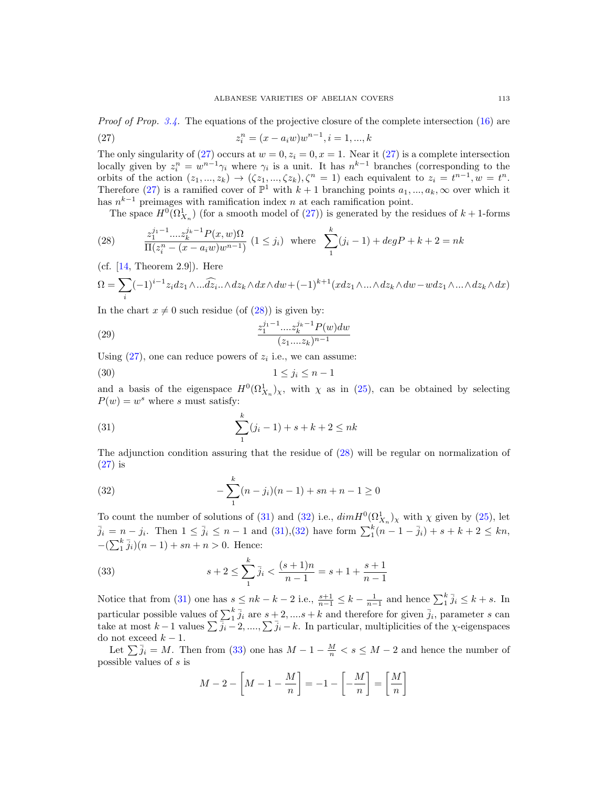*Proof of Prop.* [3.4.](#page-7-2) The equations of the projective closure of the complete intersection  $(16)$  are

<span id="page-8-0"></span>(27) 
$$
z_i^n = (x - a_i w) w^{n-1}, i = 1, ..., k
$$

The only singularity of [\(27\)](#page-8-0) occurs at  $w = 0, z_i = 0, x = 1$ . Near it (27) is a complete intersection locally given by  $z_i^n = w^{n-1}\gamma_i$  where  $\gamma_i$  is a unit. It has  $n^{k-1}$  branches (corresponding to the orbits of the action  $(z_1, ..., z_k) \rightarrow (\zeta z_1, ..., \zeta z_k), \zeta^n = 1$  each equivalent to  $z_i = t^{n-1}, w = t^n$ . Therefore [\(27\)](#page-8-0) is a ramified cover of  $\mathbb{P}^1$  with  $k+1$  branching points  $a_1, ..., a_k, \infty$  over which it has  $n^{k-1}$  preimages with ramification index n at each ramification point.

<span id="page-8-1"></span>The space  $H^0(\Omega^1_{X_n})$  (for a smooth model of [\(27\)](#page-8-0)) is generated by the residues of  $k+1$ -forms

(28) 
$$
\frac{z_1^{j_1-1} \dots z_k^{j_k-1} P(x, w) \Omega}{\Pi(z_i^n - (x - a_i w) w^{n-1})} (1 \le j_i) \text{ where } \sum_{1}^{k} (j_i - 1) + degP + k + 2 = nk
$$

(cf.  $[14,$  Theorem 2.9]). Here

$$
\Omega = \sum_{i} (-1)^{i-1} z_i dz_1 \wedge \dots \widehat{dz_i} \wedge dz_k \wedge dx \wedge dw + (-1)^{k+1} (x dz_1 \wedge \dots \wedge dz_k \wedge dw - w dz_1 \wedge \dots \wedge dz_k \wedge dx)
$$

In the chart  $x \neq 0$  such residue (of [\(28\)](#page-8-1)) is given by:

(29) 
$$
\frac{z_1^{j_1-1} \dots z_k^{j_k-1} P(w) dw}{(z_1 \dots z_k)^{n-1}}
$$

Using  $(27)$ , one can reduce powers of  $z<sub>i</sub>$  i.e., we can assume:

$$
(30) \t\t\t 1 \le j_i \le n-1
$$

and a basis of the eigenspace  $H^0(\Omega^1_{X_n})_\chi$ , with  $\chi$  as in [\(25\)](#page-7-1), can be obtained by selecting  $P(w) = w^s$  where s must satisfy:

<span id="page-8-2"></span>(31) 
$$
\sum_{1}^{k} (j_i - 1) + s + k + 2 \leq n k
$$

The adjunction condition assuring that the residue of [\(28\)](#page-8-1) will be regular on normalization of  $(27)$  is

<span id="page-8-3"></span>(32) 
$$
-\sum_{1}^{k} (n-j_i)(n-1) + sn + n - 1 \ge 0
$$

To count the number of solutions of [\(31\)](#page-8-2) and [\(32\)](#page-8-3) i.e.,  $dim H^0(\Omega^1_{X_n})_\chi$  with  $\chi$  given by [\(25\)](#page-7-1), let  $\bar{j}_i = n - j_i$ . Then  $1 \leq \bar{j}_i \leq n - 1$  and  $(31),(32)$  $(31),(32)$  have form  $\sum_{1}^{k} (n - 1 - \bar{j}_i) + s + k + 2 \leq kn$ ,  $-(\sum_{1}^{k} \bar{j}_{i})(n-1) + sn + n > 0$ . Hence:

<span id="page-8-4"></span>(33) 
$$
s+2 \leq \sum_{1}^{k} \bar{j}_i < \frac{(s+1)n}{n-1} = s+1+\frac{s+1}{n-1}
$$

Notice that from [\(31\)](#page-8-2) one has  $s \leq nk - k - 2$  i.e.,  $\frac{s+1}{n-1} \leq k - \frac{1}{n-1}$  and hence  $\sum_{i=1}^{k} \bar{j}_i \leq k + s$ . In particular possible values of  $\sum_{i=1}^{k} \bar{j}_i$  are  $s+2, ..., s+k$  and therefore for given  $\bar{j}_i$ , parameter s can take at most  $k-1$  values  $\sum \overline{j_i-2}, ..., \sum \overline{j_i-k}$ . In particular, multiplicities of the  $\chi$ -eigenspaces do not exceed  $k - 1$ .

Let  $\sum \bar{j}_i = M$ . Then from [\(33\)](#page-8-4) one has  $M - 1 - \frac{M}{n} < s \le M - 2$  and hence the number of possible values of s is

$$
M - 2 - \left[M - 1 - \frac{M}{n}\right] = -1 - \left[-\frac{M}{n}\right] = \left[\frac{M}{n}\right]
$$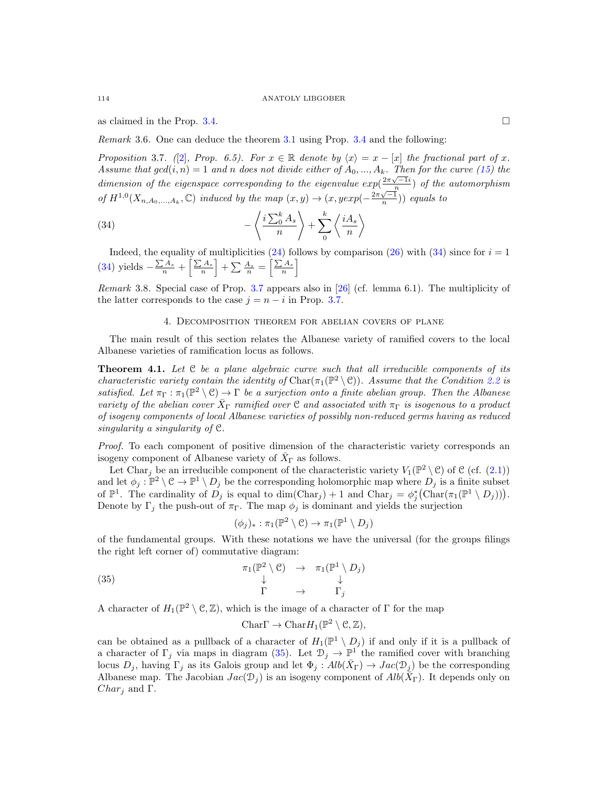as claimed in the Prop. [3.4.](#page-7-2)

Remark 3.6. One can deduce the theorem [3.1](#page-5-7) using Prop. [3.4](#page-7-2) and the following:

<span id="page-9-3"></span>Proposition 3.7. ([\[2\]](#page-17-8), Prop. 6.5). For  $x \in \mathbb{R}$  denote by  $\langle x \rangle = x - [x]$  the fractional part of x. Assume that  $gcd(i, n) = 1$  and n does not divide either of  $A_0, ..., A_k$ . Then for the curve [\(15\)](#page-5-6) the dimension of the eigenspace corresponding to the eigenvalue  $exp(\frac{2\pi\sqrt{-1}i}{n})$  of the automorphism of  $H^{1,0}(X_{n,A_0,\ldots,A_k},\mathbb{C})$  induced by the map  $(x,y) \to (x, yexp(-\frac{2\pi\sqrt{-1}}{n}))$  equals to

(34) 
$$
-\left\langle \frac{i\sum_{0}^{k}A_{s}}{n}\right\rangle +\sum_{0}^{k}\left\langle \frac{iA_{s}}{n}\right\rangle
$$

Indeed, the equality of multiplicities [\(24\)](#page-7-0) follows by comparison [\(26\)](#page-7-3) with [\(34\)](#page-9-2) since for  $i = 1$ [\(34\)](#page-9-2) yields  $-\frac{\sum A_s}{n} + \left\lceil \frac{\sum A_s}{n} \right\rceil + \sum \frac{A_s}{n} = \left\lceil \frac{\sum A_s}{n} \right\rceil$ 

Remark 3.8. Special case of Prop. [3.7](#page-9-3) appears also in [\[26\]](#page-17-1) (cf. lemma 6.1). The multiplicity of the latter corresponds to the case  $j = n - i$  in Prop. [3.7.](#page-9-3)

## <span id="page-9-2"></span>4. Decomposition theorem for abelian covers of plane

<span id="page-9-0"></span>The main result of this section relates the Albanese variety of ramified covers to the local Albanese varieties of ramification locus as follows.

<span id="page-9-1"></span>**Theorem 4.1.** Let  $C$  be a plane algebraic curve such that all irreducible components of its characteristic variety contain the identity of Char( $\pi_1(\mathbb{P}^2 \setminus \mathcal{C})$ ). Assume that the Condition [2.2](#page-2-0) is satisfied. Let  $\pi_{\Gamma} : \pi_1(\mathbb{P}^2 \setminus \mathcal{C}) \to \Gamma$  be a surjection onto a finite abelian group. Then the Albanese variety of the abelian cover  $\bar{X}_{\Gamma}$  ramified over C and associated with  $\pi_{\Gamma}$  is isogenous to a product of isogeny components of local Albanese varieties of possibly non-reduced germs having as reduced singularity a singularity of C.

Proof. To each component of positive dimension of the characteristic variety corresponds an isogeny component of Albanese variety of  $\bar{X}_{\Gamma}$  as follows.

Let Char<sub>j</sub> be an irreducible component of the characteristic variety  $V_1(\mathbb{P}^2 \setminus \mathcal{C})$  of  $\mathcal{C}$  (cf. [\(2.1\)](#page-1-2)) and let  $\phi_j : \mathbb{P}^2 \setminus \mathcal{C} \to \mathbb{P}^1 \setminus D_j$  be the corresponding holomorphic map where  $D_j$  is a finite subset of  $\mathbb{P}^1$ . The cardinality of  $D_j$  is equal to dim(Char<sub>j</sub>) + 1 and Char<sub>j</sub> =  $\phi_j^*$ (Char $(\pi_1(\mathbb{P}^1 \setminus D_j))$ ). Denote by  $\Gamma_j$  the push-out of  $\pi_{\Gamma}$ . The map  $\phi_j$  is dominant and yields the surjection

$$
(\phi_j)_*: \pi_1(\mathbb{P}^2 \setminus \mathcal{C}) \to \pi_1(\mathbb{P}^1 \setminus D_j)
$$

of the fundamental groups. With these notations we have the universal (for the groups filings the right left corner of) commutative diagram:

(35) 
$$
\begin{array}{ccc}\n\pi_1(\mathbb{P}^2 \setminus \mathcal{C}) & \to & \pi_1(\mathbb{P}^1 \setminus D_j) \\
\downarrow & & \downarrow \\
\Gamma & \to & \Gamma_j\n\end{array}
$$

A character of  $H_1(\mathbb{P}^2 \setminus \mathcal{C}, \mathbb{Z})$ , which is the image of a character of  $\Gamma$  for the map

<span id="page-9-4"></span>Char $\Gamma \to \text{Char} H_1(\mathbb{P}^2 \setminus \mathcal{C}, \mathbb{Z}),$ 

can be obtained as a pullback of a character of  $H_1(\mathbb{P}^1 \setminus D_j)$  if and only if it is a pullback of a character of  $\Gamma_j$  via maps in diagram [\(35\)](#page-9-4). Let  $\mathcal{D}_j \to \mathbb{P}^1$  the ramified cover with branching locus  $D_j$ , having  $\Gamma_j$  as its Galois group and let  $\Phi_j : Alb(\bar{X}_{\Gamma}) \to Jac(\mathcal{D}_j)$  be the corresponding Albanese map. The Jacobian  $Jac(\mathcal{D}_j)$  is an isogeny component of  $Alb(\tilde{X}_{\Gamma})$ . It depends only on  $Char_i$  and  $\Gamma$ .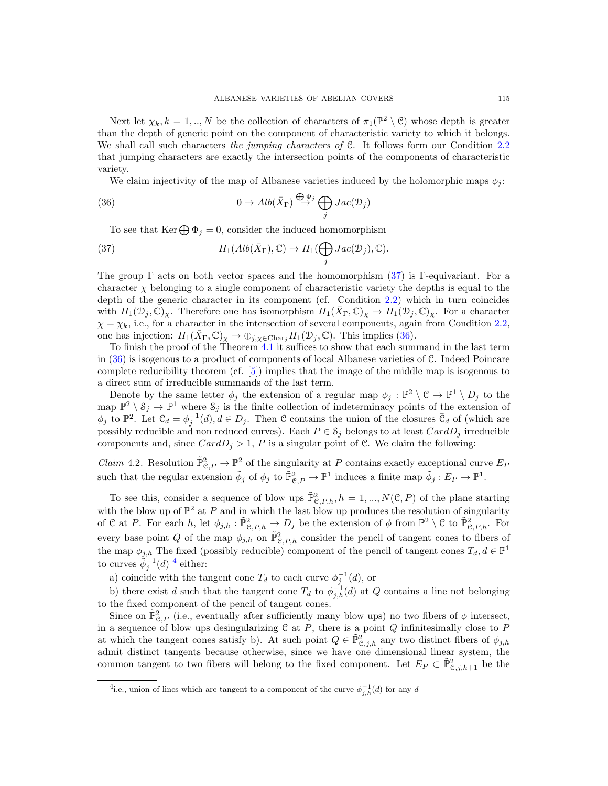Next let  $\chi_k, k = 1, ..., N$  be the collection of characters of  $\pi_1(\mathbb{P}^2 \setminus \mathcal{C})$  whose depth is greater than the depth of generic point on the component of characteristic variety to which it belongs. We shall call such characters the jumping characters of C. It follows form our Condition [2.2](#page-2-0) that jumping characters are exactly the intersection points of the components of characteristic variety.

<span id="page-10-1"></span>We claim injectivity of the map of Albanese varieties induced by the holomorphic maps  $\phi_i$ :

(36) 
$$
0 \to Alb(\bar{X}_{\Gamma}) \stackrel{\bigoplus \Phi_j}{\to} \bigoplus_j Jac(\mathcal{D}_j)
$$

<span id="page-10-0"></span>To see that Ker $\bigoplus \Phi_i = 0$ , consider the induced homomorphism

(37) 
$$
H_1(Alb(\bar{X}_{\Gamma}), \mathbb{C}) \to H_1(\bigoplus_j Jac(\mathcal{D}_j), \mathbb{C}).
$$

The group  $\Gamma$  acts on both vector spaces and the homomorphism [\(37\)](#page-10-0) is Γ-equivariant. For a character  $\chi$  belonging to a single component of characteristic variety the depths is equal to the depth of the generic character in its component (cf. Condition [2.2\)](#page-2-0) which in turn coincides with  $H_1(\mathcal{D}_j, \mathbb{C})_\chi$ . Therefore one has isomorphism  $H_1(\bar{X}_{\Gamma}, \mathbb{C})_\chi \to H_1(\mathcal{D}_j, \mathbb{C})_\chi$ . For a character  $\chi = \chi_k$ , i.e., for a character in the intersection of several components, again from Condition [2.2,](#page-2-0) one has injection:  $H_1(\bar{X}_{\Gamma}, \mathbb{C})_{\chi} \to \oplus_{j, \chi \in \text{Char}_j} H_1(\mathcal{D}_j, \mathbb{C})$ . This implies [\(36\)](#page-10-1).

To finish the proof of the Theorem [4.1](#page-9-1) it suffices to show that each summand in the last term in [\(36\)](#page-10-1) is isogenous to a product of components of local Albanese varieties of C. Indeed Poincare complete reducibility theorem (cf. [\[5\]](#page-17-18)) implies that the image of the middle map is isogenous to a direct sum of irreducible summands of the last term.

Denote by the same letter  $\phi_j$  the extension of a regular map  $\phi_j : \mathbb{P}^2 \setminus \mathcal{C} \to \mathbb{P}^1 \setminus D_j$  to the map  $\mathbb{P}^2 \setminus \mathcal{S}_j \to \mathbb{P}^1$  where  $\mathcal{S}_j$  is the finite collection of indeterminacy points of the extension of  $\phi_j$  to  $\mathbb{P}^2$ . Let  $\mathcal{C}_d = \phi_j^{-1}(d), d \in D_j$ . Then  $\mathcal C$  contains the union of the closures  $\bar{\mathcal{C}}_d$  of (which are possibly reducible and non reduced curves). Each  $P \in \mathcal{S}_i$  belongs to at least  $CardD_i$  irreducible components and, since  $CardD_j > 1$ , P is a singular point of C. We claim the following:

<span id="page-10-3"></span>*Claim* 4.2. Resolution  $\tilde{P}_{\mathcal{C},P}^2 \to \mathbb{P}^2$  of the singularity at P contains exactly exceptional curve  $E_P$ such that the regular extension  $\tilde{\phi}_j$  of  $\phi_j$  to  $\tilde{\mathbb{P}}_{\mathcal{C},P}^2 \to \mathbb{P}^1$  induces a finite map  $\tilde{\phi}_j : E_P \to \mathbb{P}^1$ .

To see this, consider a sequence of blow ups  $\tilde{P}_{\mathcal{C},P,h}^2$ ,  $h = 1,...,N(\mathcal{C},P)$  of the plane starting with the blow up of  $\mathbb{P}^2$  at P and in which the last blow up produces the resolution of singularity of C at P. For each h, let  $\phi_{j,h} : \tilde{\mathbb{P}}_{\mathcal{C},P,h}^2 \to D_j$  be the extension of  $\phi$  from  $\mathbb{P}^2 \setminus \mathcal{C}$  to  $\tilde{\mathbb{P}}_{\mathcal{C},P,h}^2$ . For every base point Q of the map  $\phi_{j,h}$  on  $\tilde{P}_{\mathcal{C},P,h}^2$  consider the pencil of tangent cones to fibers of the map  $\phi_{j,h}$  The fixed (possibly reducible) component of the pencil of tangent cones  $T_d, d \in \mathbb{P}^1$ to curves  $\tilde{\phi}_j^{-1}(d)$ <sup>[4](#page-10-2)</sup> either:

a) coincide with the tangent cone  $T_d$  to each curve  $\phi_j^{-1}(d)$ , or

b) there exist d such that the tangent cone  $T_d$  to  $\phi_{j,h}^{-1}(d)$  at Q contains a line not belonging to the fixed component of the pencil of tangent cones.

Since on  $\tilde{\mathbb{P}}_{\mathcal{C},P}^2$  (i.e., eventually after sufficiently many blow ups) no two fibers of  $\phi$  intersect, in a sequence of blow ups desingularizing  $C$  at  $P$ , there is a point  $Q$  infinitesimally close to  $P$ at which the tangent cones satisfy b). At such point  $Q \in \tilde{P}_{\mathcal{C},j,h}^2$  any two distinct fibers of  $\phi_{j,h}$ admit distinct tangents because otherwise, since we have one dimensional linear system, the common tangent to two fibers will belong to the fixed component. Let  $E_P \subset \tilde{\mathbb{P}}_{\mathcal{C},j,h+1}^2$  be the

<span id="page-10-2"></span><sup>&</sup>lt;sup>4</sup>i.e., union of lines which are tangent to a component of the curve  $\phi_{j,h}^{-1}(d)$  for any d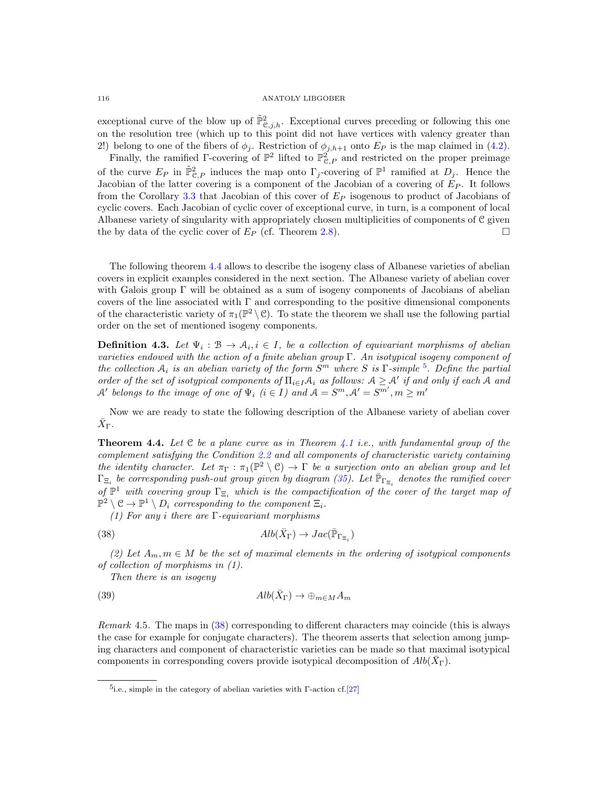exceptional curve of the blow up of  $\tilde{P}_{\mathcal{C},j,h}^2$ . Exceptional curves preceding or following this one on the resolution tree (which up to this point did not have vertices with valency greater than 2!) belong to one of the fibers of  $\phi_j$ . Restriction of  $\phi_{j,h+1}$  onto  $E_P$  is the map claimed in [\(4.2\)](#page-10-3).

Finally, the ramified  $\Gamma$ -covering of  $\mathbb{P}^2$  lifted to  $\mathbb{P}^2_{\mathcal{C},P}$  and restricted on the proper preimage of the curve  $E_P$  in  $\tilde{\mathbb{P}}_{\mathcal{C},P}^2$  induces the map onto  $\Gamma_j$ -covering of  $\mathbb{P}^1$  ramified at  $D_j$ . Hence the Jacobian of the latter covering is a component of the Jacobian of a covering of  $E_P$ . It follows from the Corollary [3.3](#page-6-3) that Jacobian of this cover of  $E<sub>P</sub>$  isogenous to product of Jacobians of cyclic covers. Each Jacobian of cyclic cover of exceptional curve, in turn, is a component of local Albanese variety of singularity with appropriately chosen multiplicities of components of C given the by data of the cyclic cover of  $E_P$  (cf. Theorem [2.8\)](#page-5-4).

The following theorem [4.4](#page-11-0) allows to describe the isogeny class of Albanese varieties of abelian covers in explicit examples considered in the next section. The Albanese variety of abelian cover with Galois group  $\Gamma$  will be obtained as a sum of isogeny components of Jacobians of abelian covers of the line associated with Γ and corresponding to the positive dimensional components of the characteristic variety of  $\pi_1(\mathbb{P}^2 \setminus \mathbb{C})$ . To state the theorem we shall use the following partial order on the set of mentioned isogeny components.

**Definition 4.3.** Let  $\Psi_i : \mathcal{B} \to \mathcal{A}_i, i \in I$ , be a collection of equivariant morphisms of abelian varieties endowed with the action of a finite abelian group  $\Gamma$ . An isotypical isogeny component of the collection  $A_i$  is an abelian variety of the form  $S^m$  where S is  $\Gamma$ -simple <sup>[5](#page-11-1)</sup>. Define the partial order of the set of isotypical components of  $\Pi_{i\in I} A_i$  as follows:  $A \geq A'$  if and only if each A and  $\mathcal{A}'$  belongs to the image of one of  $\Psi_i$  ( $i \in I$ ) and  $\mathcal{A} = S^m, \mathcal{A}' = S^{m'} , m \geq m'$ 

Now we are ready to state the following description of the Albanese variety of abelian cover  $\bar{X}_{\Gamma}.$ 

<span id="page-11-0"></span>**Theorem 4.4.** Let  $C$  be a plane curve as in Theorem [4.1](#page-9-1) i.e., with fundamental group of the complement satisfying the Condition [2.2](#page-2-0) and all components of characteristic variety containing the identity character. Let  $\pi_{\Gamma} : \pi_1(\mathbb{P}^2 \setminus \mathcal{C}) \to \Gamma$  be a surjection onto an abelian group and let  $\Gamma_{\Xi_i}$  be corresponding push-out group given by diagram [\(35\)](#page-9-4). Let  $\bar{\mathbb{P}}_{\Gamma_{\Xi_i}}$  denotes the ramified cover of  $\mathbb{P}^1$  with covering group  $\Gamma_{\Xi_i}$  which is the compactification of the cover of the target map of  $\mathbb{P}^2 \setminus \mathcal{C} \to \mathbb{P}^1 \setminus D_i$  corresponding to the component  $\Xi_i$ .

<span id="page-11-2"></span>(1) For any i there are  $\Gamma$ -equivariant morphisms

(38) 
$$
Alb(\bar{X}_{\Gamma}) \to Jac(\bar{\mathbb{P}}_{\Gamma_{\Xi_i}})
$$

(2) Let  $A_m, m \in M$  be the set of maximal elements in the ordering of isotypical components of collection of morphisms in (1).

<span id="page-11-3"></span>Then there is an isogeny

(39) 
$$
Alb(\bar{X}_{\Gamma}) \to \oplus_{m \in M} A_m
$$

Remark 4.5. The maps in [\(38\)](#page-11-2) corresponding to different characters may coincide (this is always the case for example for conjugate characters). The theorem asserts that selection among jumping characters and component of characteristic varieties can be made so that maximal isotypical components in corresponding covers provide isotypical decomposition of  $Alb(\bar{X}_{\Gamma})$ .

<span id="page-11-1"></span><sup>&</sup>lt;sup>5</sup>i.e., simple in the category of abelian varieties with  $\Gamma$ -action cf.[\[27\]](#page-18-3)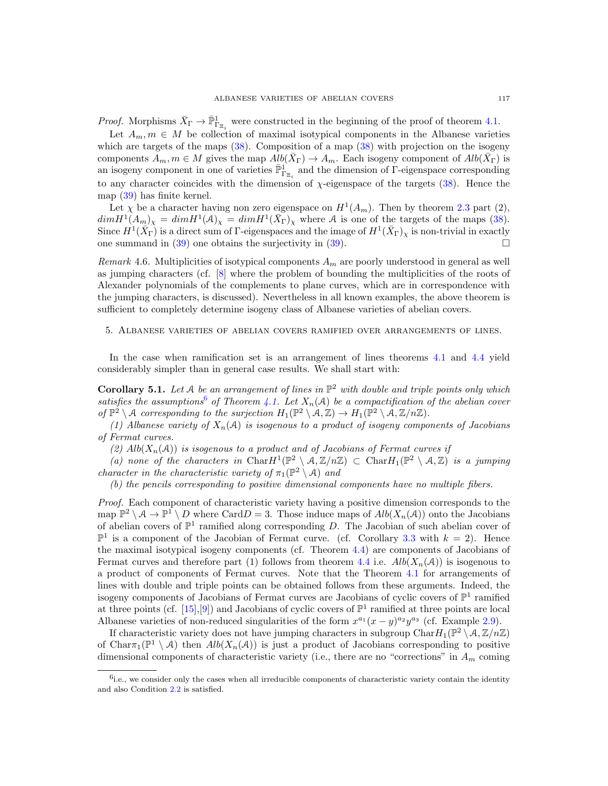*Proof.* Morphisms  $\bar{X}_{\Gamma} \to \bar{\mathbb{P}}_{\Gamma_{\Xi_i}}^1$  were constructed in the beginning of the proof of theorem [4.1.](#page-9-1)

Let  $A_m, m \in M$  be collection of maximal isotypical components in the Albanese varieties which are targets of the maps  $(38)$ . Composition of a map  $(38)$  with projection on the isogeny components  $\overline{A}_m, m \in M$  gives the map  $Alb(\overline{X}_{\Gamma}) \to A_m$ . Each isogeny component of  $Alb(\overline{X}_{\Gamma})$  is an isogeny component in one of varieties  $\bar{\mathbb{P}}_{\Gamma_{\Xi_i}}^1$  and the dimension of  $\Gamma$ -eigenspace corresponding to any character coincides with the dimension of  $\chi$ -eigenspace of the targets [\(38\)](#page-11-2). Hence the map [\(39\)](#page-11-3) has finite kernel.

Let  $\chi$  be a character having non zero eigenspace on  $H^1(A_m)$ . Then by theorem [2.3](#page-3-0) part (2),  $dim H^1(A_m)_{\chi} = dim H^1(A)_{\chi} = dim H^1(\bar{X}_{\Gamma})_{\chi}$  where A is one of the targets of the maps [\(38\)](#page-11-2). Since  $H^1(\overline{X}_{\Gamma})$  is a direct sum of  $\Gamma$ -eigenspaces and the image of  $H^1(\bar{X}_{\Gamma})_{\chi}$  is non-trivial in exactly one summand in [\(39\)](#page-11-3) one obtains the surjectivity in [\(39\)](#page-11-3).

Remark 4.6. Multiplicities of isotypical components  $A_m$  are poorly understood in general as well as jumping characters (cf. [\[8\]](#page-17-0) where the problem of bounding the multiplicities of the roots of Alexander polynomials of the complements to plane curves, which are in correspondence with the jumping characters, is discussed). Nevertheless in all known examples, the above theorem is sufficient to completely determine isogeny class of Albanese varieties of abelian covers.

## <span id="page-12-0"></span>5. Albanese varieties of abelian covers ramified over arrangements of lines.

In the case when ramification set is an arrangement of lines theorems [4.1](#page-9-1) and [4.4](#page-11-0) yield considerably simpler than in general case results. We shall start with:

<span id="page-12-2"></span>**Corollary 5.1.** Let A be an arrangement of lines in  $\mathbb{P}^2$  with double and triple points only which satisfies the assumptions<sup>[6](#page-12-1)</sup> of Theorem [4.1.](#page-9-1) Let  $X_n(\mathcal{A})$  be a compactification of the abelian cover of  $\mathbb{P}^2 \setminus \mathcal{A}$  corresponding to the surjection  $H_1(\mathbb{P}^2 \setminus \mathcal{A}, \mathbb{Z}) \to H_1(\mathbb{P}^2 \setminus \mathcal{A}, \mathbb{Z}/n\mathbb{Z})$ .

(1) Albanese variety of  $X_n(\mathcal{A})$  is isogenous to a product of isogeny components of Jacobians of Fermat curves.

(2)  $Alb(X_n(\mathcal{A}))$  is isogenous to a product and of Jacobians of Fermat curves if

(a) none of the characters in Char $H^1(\mathbb{P}^2 \setminus A, \mathbb{Z}/n\mathbb{Z}) \subset \text{Char}H_1(\mathbb{P}^2 \setminus A, \mathbb{Z})$  is a jumping character in the characteristic variety of  $\pi_1(\mathbb{P}^2 \setminus \mathcal{A})$  and

(b) the pencils corresponding to positive dimensional components have no multiple fibers.

Proof. Each component of characteristic variety having a positive dimension corresponds to the map  $\mathbb{P}^2 \setminus \mathcal{A} \to \mathbb{P}^1 \setminus D$  where Card  $D = 3$ . Those induce maps of  $Alb(X_n(\mathcal{A}))$  onto the Jacobians of abelian covers of  $\mathbb{P}^1$  ramified along corresponding D. The Jacobian of such abelian cover of  $\mathbb{P}^1$  is a component of the Jacobian of Fermat curve. (cf. Corollary [3.3](#page-6-3) with  $k = 2$ ). Hence the maximal isotypical isogeny components (cf. Theorem [4.4\)](#page-11-0) are components of Jacobians of Fermat curves and therefore part (1) follows from theorem [4.4](#page-11-0) i.e.  $Alb(X_n(\mathcal{A}))$  is isogenous to a product of components of Fermat curves. Note that the Theorem [4.1](#page-9-1) for arrangements of lines with double and triple points can be obtained follows from these arguments. Indeed, the isogeny components of Jacobians of Fermat curves are Jacobians of cyclic covers of  $\mathbb{P}^1$  ramified at three points (cf. [\[15\]](#page-17-2), [\[9\]](#page-17-3)) and Jacobians of cyclic covers of  $\mathbb{P}^1$  ramified at three points are local Albanese varieties of non-reduced singularities of the form  $x^{a_1}(x-y)^{a_2}y^{a_3}$  (cf. Example [2.9\)](#page-5-8).

If characteristic variety does not have jumping characters in subgroup  $\text{Char} H_1(\mathbb{P}^2 \setminus \mathcal{A}, \mathbb{Z}/n\mathbb{Z})$ of Char $\pi_1(\mathbb{P}^1 \setminus \mathcal{A})$  then  $Alb(X_n(\mathcal{A}))$  is just a product of Jacobians corresponding to positive dimensional components of characteristic variety (i.e., there are no "corrections" in  $A_m$  coming

<span id="page-12-1"></span> $\delta$ i.e., we consider only the cases when all irreducible components of characteristic variety contain the identity and also Condition [2.2](#page-2-0) is satisfied.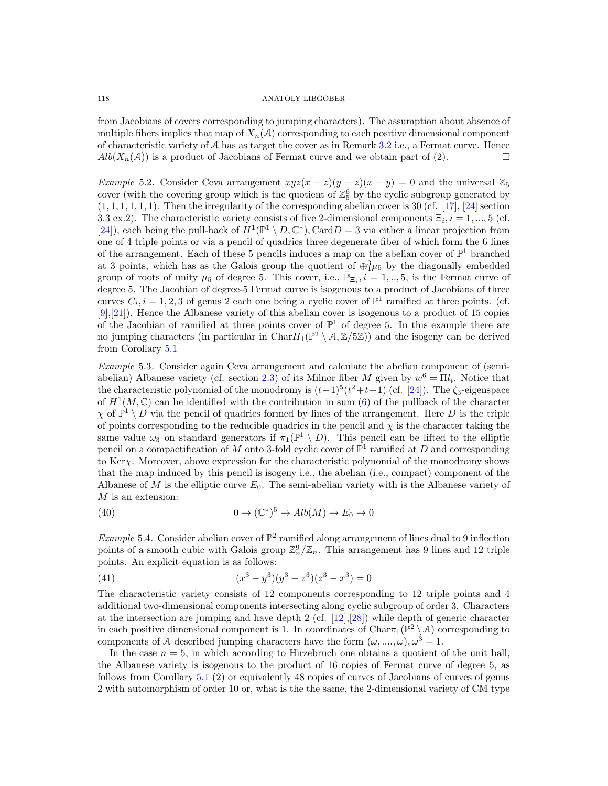from Jacobians of covers corresponding to jumping characters). The assumption about absence of multiple fibers implies that map of  $X_n(\mathcal{A})$  corresponding to each positive dimensional component of characteristic variety of  $A$  has as target the cover as in Remark [3.2](#page-6-4) i.e., a Fermat curve. Hence  $Alb(X_n(\mathcal{A}))$  is a product of Jacobians of Fermat curve and we obtain part of (2).

<span id="page-13-0"></span>Example 5.2. Consider Ceva arrangement  $xyz(x-z)(y-z)(x-y) = 0$  and the universal  $\mathbb{Z}_5$ cover (with the covering group which is the quotient of  $\mathbb{Z}_5^6$  by the cyclic subgroup generated by  $(1, 1, 1, 1, 1, 1)$ . Then the irregularity of the corresponding abelian cover is 30 (cf. [\[17\]](#page-17-19), [\[24\]](#page-17-9) section 3.3 ex.2). The characteristic variety consists of five 2-dimensional components  $\Xi_i$ ,  $i = 1, ..., 5$  (cf. [\[24\]](#page-17-9)), each being the pull-back of  $H^1(\mathbb{P}^1 \setminus D, \mathbb{C}^*)$ , Card $D = 3$  via either a linear projection from one of 4 triple points or via a pencil of quadrics three degenerate fiber of which form the 6 lines of the arrangement. Each of these 5 pencils induces a map on the abelian cover of  $\mathbb{P}^1$  branched at 3 points, which has as the Galois group the quotient of  $\oplus_1^3 \mu_5$  by the diagonally embedded group of roots of unity  $\mu_5$  of degree 5. This cover, i.e.,  $\bar{\mathbb{P}}_{\Xi_i}$ ,  $i=1,..,5$ , is the Fermat curve of degree 5. The Jacobian of degree-5 Fermat curve is isogenous to a product of Jacobians of three curves  $C_i$ ,  $i = 1, 2, 3$  of genus 2 each one being a cyclic cover of  $\mathbb{P}^1$  ramified at three points. (cf. [\[9\]](#page-17-3),[\[21\]](#page-17-20)). Hence the Albanese variety of this abelian cover is isogenous to a product of 15 copies of the Jacobian of ramified at three points cover of  $\mathbb{P}^1$  of degree 5. In this example there are no jumping characters (in particular in Char $H_1(\mathbb{P}^2 \setminus A, \mathbb{Z}/5\mathbb{Z})$ ) and the isogeny can be derived from Corollary [5.1](#page-12-2)

Example 5.3. Consider again Ceva arrangement and calculate the abelian component of (semi-abelian) Albanese variety (cf. section [2.3\)](#page-3-2) of its Milnor fiber M given by  $w^6 = \Pi l_i$ . Notice that the characteristic polynomial of the monodromy is  $(t-1)^5(t^2+t+1)$  (cf. [\[24\]](#page-17-9)). The  $\zeta_3$ -eigenspace of  $H^1(M,\mathbb{C})$  can be identified with the contribution in sum [\(6\)](#page-3-3) of the pullback of the character  $\chi$  of  $\mathbb{P}^1 \setminus D$  via the pencil of quadrics formed by lines of the arrangement. Here D is the triple of points corresponding to the reducible quadrics in the pencil and  $\chi$  is the character taking the same value  $\omega_3$  on standard generators if  $\pi_1(\mathbb{P}^1 \setminus D)$ . This pencil can be lifted to the elliptic pencil on a compactification of M onto 3-fold cyclic cover of  $\mathbb{P}^1$  ramified at D and corresponding to Kerχ. Moreover, above expression for the characteristic polynomial of the monodromy shows that the map induced by this pencil is isogeny i.e., the abelian (i.e., compact) component of the Albanese of  $M$  is the elliptic curve  $E_0$ . The semi-abelian variety with is the Albanese variety of  $M$  is an extension:

(40) 
$$
0 \to (\mathbb{C}^*)^5 \to Alb(M) \to E_0 \to 0
$$

*Example* 5.4. Consider abelian cover of  $\mathbb{P}^2$  ramified along arrangement of lines dual to 9 inflection points of a smooth cubic with Galois group  $\mathbb{Z}_n^9/\mathbb{Z}_n$ . This arrangement has 9 lines and 12 triple points. An explicit equation is as follows:

(41) 
$$
(x^3 - y^3)(y^3 - z^3)(z^3 - x^3) = 0
$$

The characteristic variety consists of 12 components corresponding to 12 triple points and 4 additional two-dimensional components intersecting along cyclic subgroup of order 3. Characters at the intersection are jumping and have depth 2 (cf.  $[12],[28]$  $[12],[28]$ ) while depth of generic character in each positive dimensional component is 1. In coordinates of  $Char_{1}(\mathbb{P}^{2} \setminus \mathcal{A})$  corresponding to components of A described jumping characters have the form  $(\omega, ..., \omega), \omega^3 = 1$ .

In the case  $n = 5$ , in which according to Hirzebruch one obtains a quotient of the unit ball, the Albanese variety is isogenous to the product of 16 copies of Fermat curve of degree 5, as follows from Corollary [5.1](#page-12-2) (2) or equivalently 48 copies of curves of Jacobians of curves of genus 2 with automorphism of order 10 or, what is the the same, the 2-dimensional variety of CM type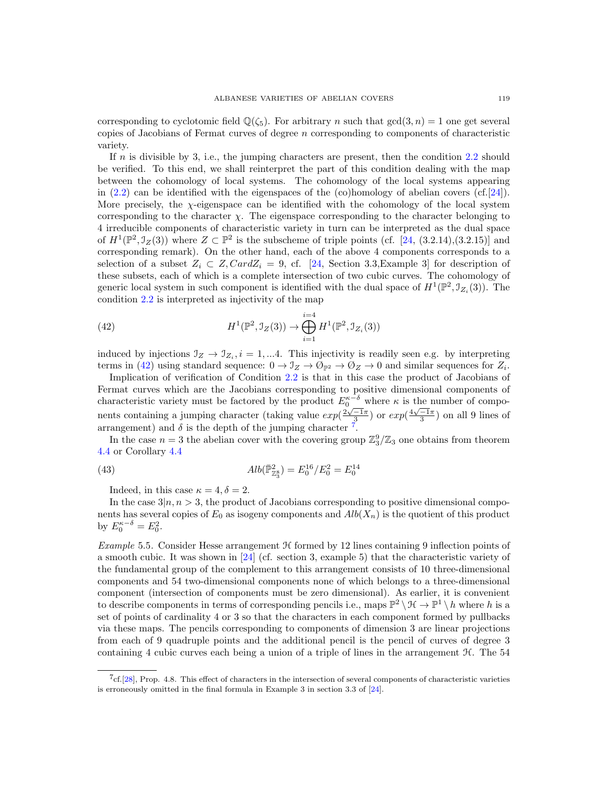corresponding to cyclotomic field  $\mathbb{Q}(\zeta_5)$ . For arbitrary n such that  $gcd(3,n) = 1$  one get several copies of Jacobians of Fermat curves of degree n corresponding to components of characteristic variety.

If n is divisible by 3, i.e., the jumping characters are present, then the condition  $2.2$  should be verified. To this end, we shall reinterpret the part of this condition dealing with the map between the cohomology of local systems. The cohomology of the local systems appearing in  $(2.2)$  can be identified with the eigenspaces of the  $(c)$ homology of abelian covers  $(cf.[24])$  $(cf.[24])$  $(cf.[24])$ . More precisely, the  $\chi$ -eigenspace can be identified with the cohomology of the local system corresponding to the character  $\chi$ . The eigenspace corresponding to the character belonging to 4 irreducible components of characteristic variety in turn can be interpreted as the dual space of  $H^1(\mathbb{P}^2, \mathcal{I}_Z(3))$  where  $Z \subset \mathbb{P}^2$  is the subscheme of triple points (cf. [\[24,](#page-17-9) (3.2.14),(3.2.15)] and corresponding remark). On the other hand, each of the above 4 components corresponds to a selection of a subset  $Z_i \subset Z$ ,  $CardZ_i = 9$ , cf. [\[24,](#page-17-9) Section 3.3, Example 3] for description of these subsets, each of which is a complete intersection of two cubic curves. The cohomology of generic local system in such component is identified with the dual space of  $H^1(\mathbb{P}^2, \mathcal{I}_{Z_i}(3))$ . The condition [2.2](#page-2-0) is interpreted as injectivity of the map

<span id="page-14-0"></span>(42) 
$$
H^{1}(\mathbb{P}^{2}, \mathcal{I}_{Z}(3)) \to \bigoplus_{i=1}^{i=4} H^{1}(\mathbb{P}^{2}, \mathcal{I}_{Z_{i}}(3))
$$

induced by injections  $\mathcal{I}_Z \to \mathcal{I}_{Z_i}$ ,  $i = 1,...4$ . This injectivity is readily seen e.g. by interpreting terms in [\(42\)](#page-14-0) using standard sequence:  $0 \to \mathcal{I}_Z \to \mathcal{O}_{\mathbb{P}^2} \to \mathcal{O}_Z \to 0$  and similar sequences for  $Z_i$ .

Implication of verification of Condition [2.2](#page-2-0) is that in this case the product of Jacobians of Fermat curves which are the Jacobians corresponding to positive dimensional components of characteristic variety must be factored by the product  $E_0^{\kappa-\delta}$  where  $\kappa$  is the number of components containing a jumping character (taking value  $exp(\frac{2\sqrt{-1}\pi}{3})$  or  $exp(\frac{4\sqrt{-1}\pi}{3})$  on all 9 lines of arrangement) and  $\delta$  is the depth of the jumping character  $\tilde{f}$ .

In the case  $n=3$  the abelian cover with the covering group  $\mathbb{Z}_3^9/\mathbb{Z}_3$  one obtains from theorem [4.4](#page-11-0) or Corollary [4.4](#page-11-0)

(43) 
$$
Alb(\bar{\mathbb{P}}_{\mathbb{Z}_{3}^{8}}^{2}) = E_{0}^{16}/E_{0}^{2} = E_{0}^{14}
$$

Indeed, in this case  $\kappa = 4, \delta = 2$ .

In the case  $3|n, n > 3$ , the product of Jacobians corresponding to positive dimensional components has several copies of  $E_0$  as isogeny components and  $Alb(X_n)$  is the quotient of this product by  $E_0^{\kappa-\delta} = E_0^2$ .

Example 5.5. Consider Hesse arrangement  $H$  formed by 12 lines containing 9 inflection points of a smooth cubic. It was shown in [\[24\]](#page-17-9) (cf. section 3, example 5) that the characteristic variety of the fundamental group of the complement to this arrangement consists of 10 three-dimensional components and 54 two-dimensional components none of which belongs to a three-dimensional component (intersection of components must be zero dimensional). As earlier, it is convenient to describe components in terms of corresponding pencils i.e., maps  $\mathbb{P}^2 \setminus \mathcal{H} \to \mathbb{P}^1 \setminus h$  where h is a set of points of cardinality 4 or 3 so that the characters in each component formed by pullbacks via these maps. The pencils corresponding to components of dimension 3 are linear projections from each of 9 quadruple points and the additional pencil is the pencil of curves of degree 3 containing 4 cubic curves each being a union of a triple of lines in the arrangement  $\mathcal{H}$ . The 54

<span id="page-14-1"></span><sup>7</sup> cf.[\[28\]](#page-18-4), Prop. 4.8. This effect of characters in the intersection of several components of characteristic varieties is erroneously omitted in the final formula in Example 3 in section 3.3 of [\[24\]](#page-17-9).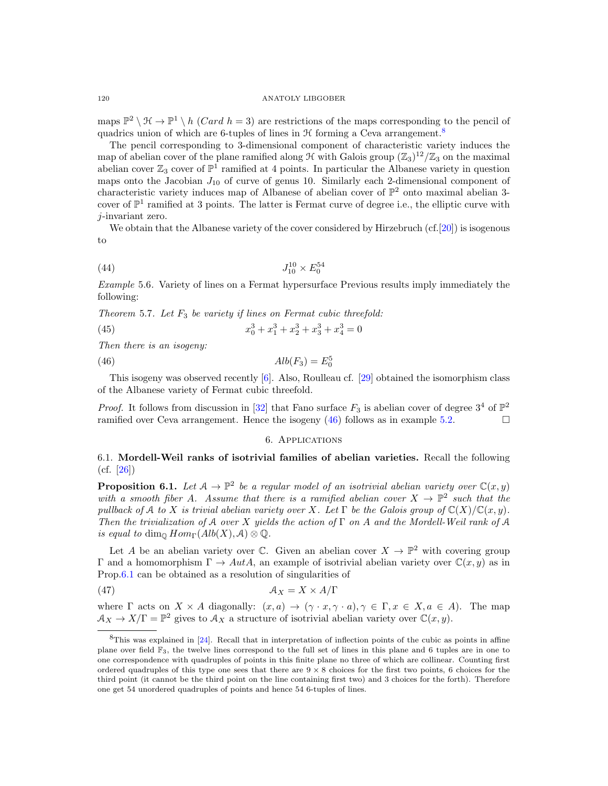maps  $\mathbb{P}^2 \setminus \mathcal{H} \to \mathbb{P}^1 \setminus h$  (*Card h* = 3) are restrictions of the maps corresponding to the pencil of quadrics union of which are 6-tuples of lines in  $\mathcal H$  forming a Ceva arrangement.<sup>[8](#page-15-0)</sup>

The pencil corresponding to 3-dimensional component of characteristic variety induces the map of abelian cover of the plane ramified along  $\mathcal H$  with Galois group  $(\mathbb Z_3)^{12}/\mathbb Z_3$  on the maximal abelian cover  $\mathbb{Z}_3$  cover of  $\mathbb{P}^1$  ramified at 4 points. In particular the Albanese variety in question maps onto the Jacobian  $J_{10}$  of curve of genus 10. Similarly each 2-dimensional component of characteristic variety induces map of Albanese of abelian cover of  $\mathbb{P}^2$  onto maximal abelian 3cover of  $\mathbb{P}^1$  ramified at 3 points. The latter is Fermat curve of degree i.e., the elliptic curve with j-invariant zero.

We obtain that the Albanese variety of the cover considered by Hirzebruch (cf. [\[20\]](#page-17-4)) is isogenous to

(44) 
$$
J_{10}^{10} \times E_0^{54}
$$

Example 5.6. Variety of lines on a Fermat hypersurface Previous results imply immediately the following:

Theorem 5.7. Let  $F_3$  be variety if lines on Fermat cubic threefold:

(45) 
$$
x_0^3 + x_1^3 + x_2^3 + x_3^3 + x_4^3 = 0
$$

Then there is an isogeny:

$$
(46)\qquad \qquad \text{Alb}(F_3) = E_0^5
$$

This isogeny was observed recently [\[6\]](#page-17-6). Also, Roulleau cf. [\[29\]](#page-18-0) obtained the isomorphism class of the Albanese variety of Fermat cubic threefold.

*Proof.* It follows from discussion in [\[32\]](#page-18-5) that Fano surface  $F_3$  is abelian cover of degree  $3^4$  of  $\mathbb{P}^2$ ramified over Ceva arrangement. Hence the isogeny  $(46)$  follows as in example [5.2.](#page-13-0)

### <span id="page-15-3"></span><span id="page-15-1"></span>6. Applications

# 6.1. Mordell-Weil ranks of isotrivial families of abelian varieties. Recall the following  $(cf. [26])$  $(cf. [26])$  $(cf. [26])$

<span id="page-15-2"></span>**Proposition 6.1.** Let  $A \to \mathbb{P}^2$  be a regular model of an isotrivial abelian variety over  $\mathbb{C}(x, y)$ with a smooth fiber A. Assume that there is a ramified abelian cover  $X \to \mathbb{P}^2$  such that the pullback of A to X is trivial abelian variety over X. Let  $\Gamma$  be the Galois group of  $\mathbb{C}(X)/\mathbb{C}(x,y)$ . Then the trivialization of A over X yields the action of  $\Gamma$  on A and the Mordell-Weil rank of A is equal to dim<sub> $\mathbb{Q}$ </sub> Hom<sub> $\Gamma$ </sub> $(Alb(X), \mathcal{A}) \otimes \mathbb{Q}$ .

Let A be an abelian variety over  $\mathbb C$ . Given an abelian cover  $X \to \mathbb P^2$  with covering group Γ and a homomorphism  $\Gamma \to AutA$ , an example of isotrivial abelian variety over  $\mathbb{C}(x, y)$  as in Prop[.6.1](#page-15-2) can be obtained as a resolution of singularities of

(47) A<sup>X</sup> = X × A/Γ

where  $\Gamma$  acts on  $X \times A$  diagonally:  $(x, a) \rightarrow (\gamma \cdot x, \gamma \cdot a), \gamma \in \Gamma, x \in X, a \in A$ ). The map  $A_X \to X/\Gamma = \mathbb{P}^2$  gives to  $A_X$  a structure of isotrivial abelian variety over  $\mathbb{C}(x, y)$ .

<span id="page-15-0"></span><sup>8</sup>This was explained in [\[24\]](#page-17-9). Recall that in interpretation of inflection points of the cubic as points in affine plane over field F3, the twelve lines correspond to the full set of lines in this plane and 6 tuples are in one to one correspondence with quadruples of points in this finite plane no three of which are collinear. Counting first ordered quadruples of this type one sees that there are  $9 \times 8$  choices for the first two points, 6 choices for the third point (it cannot be the third point on the line containing first two) and 3 choices for the forth). Therefore one get 54 unordered quadruples of points and hence 54 6-tuples of lines.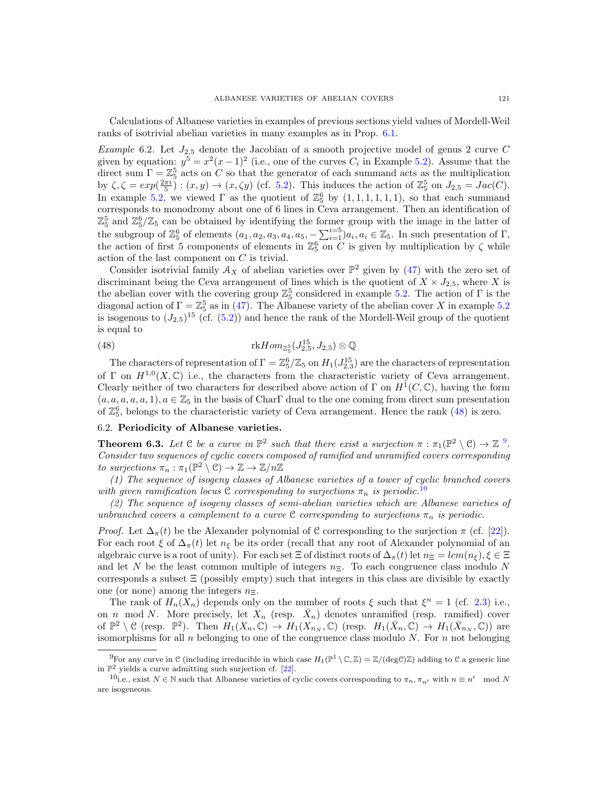Calculations of Albanese varieties in examples of previous sections yield values of Mordell-Weil ranks of isotrivial abelian varieties in many examples as in Prop. [6.1.](#page-15-2)

Example 6.2. Let  $J_{2,5}$  denote the Jacobian of a smooth projective model of genus 2 curve C given by equation:  $y^5 = x^2(x-1)^2$  (i.e., one of the curves  $C_i$  in Example [5.2\)](#page-13-0). Assume that the direct sum  $\Gamma = \mathbb{Z}_5^5$  acts on C so that the generator of each summand acts as the multiplication by  $\zeta, \zeta = exp(\frac{2\pi i}{5})$ :  $(x, y) \rightarrow (x, \zeta y)$  (cf. [5.2\)](#page-13-0). This induces the action of  $\mathbb{Z}_5^5$  on  $J_{2,5} = Jac(C)$ . In example [5.2,](#page-13-0) we viewed  $\Gamma$  as the quotient of  $\mathbb{Z}_5^6$  by  $(1,1,1,1,1,1)$ , so that each summand corresponds to monodromy about one of 6 lines in Ceva arrangement. Then an identification of  $\mathbb{Z}_5^5$  and  $\mathbb{Z}_5^6/\mathbb{Z}_5$  can be obtained by identifying the former group with the image in the latter of the subgroup of  $\mathbb{Z}_5^6$  of elements  $(a_1, a_2, a_3, a_4, a_5, -\sum_{i=1}^{i=5} a_i, a_i \in \mathbb{Z}_5$ . In such presentation of  $\Gamma$ , the action of first 5 components of elements in  $\mathbb{Z}_5^6$  on C is given by multiplication by  $\zeta$  while action of the last component on C is trivial.

Consider isotrivial family  $A_X$  of abelian varieties over  $\mathbb{P}^2$  given by [\(47\)](#page-15-3) with the zero set of discriminant being the Ceva arrangement of lines which is the quotient of  $X \times J_{2,5}$ , where X is the abelian cover with the covering group  $\mathbb{Z}_5^5$  considered in example [5.2.](#page-13-0) The action of  $\Gamma$  is the diagonal action of  $\Gamma = \mathbb{Z}_5^5$  as in [\(47\)](#page-15-3). The Albanese variety of the abelian cover X in example [5.2](#page-13-0) is isogenous to  $(J_{2,5})^{15}$  (cf.  $(5.2)$ ) and hence the rank of the Mordell-Weil group of the quotient is equal to

<span id="page-16-0"></span>(48) 
$$
\text{rk} Hom_{\mathbb{Z}_5^5}(J_{2,5}^{15}, J_{2,5}) \otimes \mathbb{Q}
$$

The characters of representation of  $\Gamma = \mathbb{Z}_5^6/\mathbb{Z}_5$  on  $H_1(J_{2,3}^{15})$  are the characters of representation of  $\Gamma$  on  $H^{1,0}(X,\mathbb{C})$  i.e., the characters from the characteristic variety of Ceva arrangement. Clearly neither of two characters for described above action of  $\Gamma$  on  $H^1(C, \mathbb{C})$ , having the form  $(a, a, a, a, a, 1), a \in \mathbb{Z}_5$  in the basis of CharF dual to the one coming from direct sum presentation of  $\mathbb{Z}_5^6$ , belongs to the characteristic variety of Ceva arrangement. Hence the rank [\(48\)](#page-16-0) is zero.

# 6.2. Periodicity of Albanese varieties.

**Theorem 6.3.** Let  $C$  be a curve in  $\mathbb{P}^2$  such that there exist a surjection  $\pi : \pi_1(\mathbb{P}^2 \setminus C) \to \mathbb{Z}^9$  $\pi : \pi_1(\mathbb{P}^2 \setminus C) \to \mathbb{Z}^9$ . Consider two sequences of cyclic covers composed of ramified and unramified covers corresponding to surjections  $\pi_n : \pi_1(\mathbb{P}^2 \setminus \mathcal{C}) \to \mathbb{Z} \to \mathbb{Z}/n\mathbb{Z}$ 

(1) The sequence of isogeny classes of Albanese varieties of a tower of cyclic branched covers with given ramification locus C corresponding to surjections  $\pi_n$  is periodic.<sup>[10](#page-16-2)</sup>

(2) The sequence of isogeny classes of semi-abelian varieties which are Albanese varieties of unbranched covers a complement to a curve C corresponding to surjections  $\pi_n$  is periodic.

*Proof.* Let  $\Delta_{\pi}(t)$  be the Alexander polynomial of C corresponding to the surjection  $\pi$  (cf. [\[22\]](#page-17-22)). For each root  $\xi$  of  $\Delta_{\pi}(t)$  let  $n_{\xi}$  be its order (recall that any root of Alexander polynomial of an algebraic curve is a root of unity). For each set  $\Xi$  of distinct roots of  $\Delta_{\pi}(t)$  let  $n_{\Xi} = lcm(n_{\xi}), \xi \in \Xi$ and let N be the least common multiple of integers  $n_{\overline{z}}$ . To each congruence class modulo N corresponds a subset  $\Xi$  (possibly empty) such that integers in this class are divisible by exactly one (or none) among the integers  $n_{\Xi}$ .

The rank of  $H_n(X_n)$  depends only on the number of roots  $\xi$  such that  $\xi^n = 1$  (cf. [2.3\)](#page-3-0) i.e., on n mod N. More precisely, let  $X_n$  (resp.  $\bar{X}_n$ ) denotes unramified (resp. ramified) cover of  $\mathbb{P}^2 \setminus \mathcal{C}$  (resp.  $\mathbb{P}^2$ ). Then  $H_1(X_n, \mathbb{C}) \to H_1(X_{n_N}, \mathbb{C})$  (resp.  $H_1(\bar{X}_n, \mathbb{C}) \to H_1(\bar{X}_{n_N}, \mathbb{C})$ ) are isomorphisms for all  $n$  belonging to one of the congruence class modulo  $N$ . For  $n$  not belonging

<span id="page-16-1"></span><sup>&</sup>lt;sup>9</sup>For any curve in C (including irreducible in which case  $H_1(\mathbb{P}^1 \setminus \mathbb{C}, \mathbb{Z}) = \mathbb{Z}/(\text{deg}\mathbb{C})\mathbb{Z}$ ) adding to C a generic line in  $\mathbb{P}^2$  yields a curve admitting such surjection cf. [\[22\]](#page-17-22).

<span id="page-16-2"></span><sup>&</sup>lt;sup>10</sup>i.e., exist  $N \in \mathbb{N}$  such that Albanese varieties of cyclic covers corresponding to  $\pi_n, \pi_{n'}$  with  $n \equiv n' \mod N$ are isogeneous.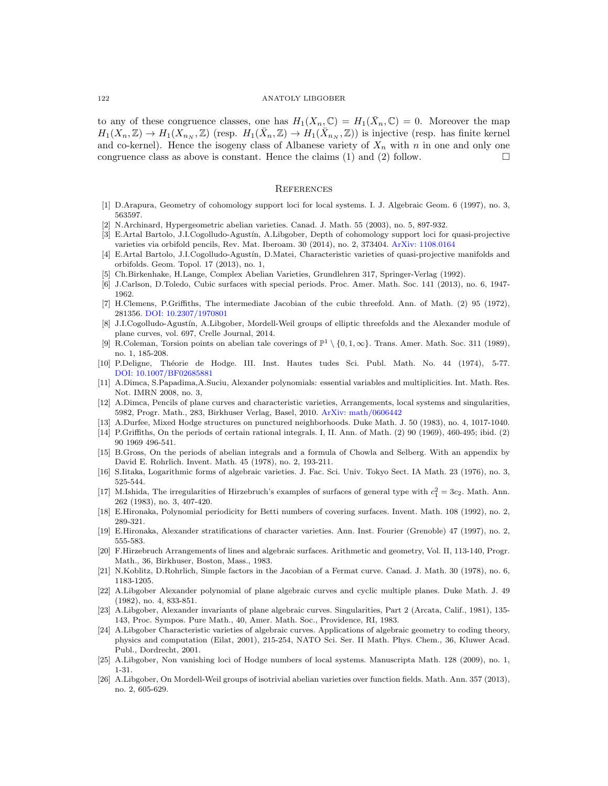to any of these congruence classes, one has  $H_1(X_n,\mathbb{C}) = H_1(\bar{X}_n,\mathbb{C}) = 0$ . Moreover the map  $H_1(X_n,\mathbb{Z}) \to H_1(X_{n_N},\mathbb{Z})$  (resp.  $H_1(\bar{X}_n,\mathbb{Z}) \to H_1(\bar{X}_{n_N},\mathbb{Z})$ ) is injective (resp. has finite kernel and co-kernel). Hence the isogeny class of Albanese variety of  $X_n$  with n in one and only one congruence class as above is constant. Hence the claims  $(1)$  and  $(2)$  follow.

### **REFERENCES**

- <span id="page-17-12"></span>[1] D.Arapura, Geometry of cohomology support loci for local systems. I. J. Algebraic Geom. 6 (1997), no. 3, 563597.
- <span id="page-17-8"></span>[2] N.Archinard, Hypergeometric abelian varieties. Canad. J. Math. 55 (2003), no. 5, 897-932.
- <span id="page-17-10"></span>[3] E.Artal Bartolo, J.I.Cogolludo-Agustín, A.Libgober, Depth of cohomology support loci for quasi-projective varieties via orbifold pencils, Rev. Mat. Iberoam. 30 (2014), no. 2, 373404. [ArXiv: 1108.0164](http://arxiv.org/abs/1108.0164)
- <span id="page-17-14"></span>[4] E.Artal Bartolo, J.I.Cogolludo-Agust´ın, D.Matei, Characteristic varieties of quasi-projective manifolds and orbifolds. Geom. Topol. 17 (2013), no. 1,
- <span id="page-17-18"></span>[5] Ch.Birkenhake, H.Lange, Complex Abelian Varieties, Grundlehren 317, Springer-Verlag (1992).
- <span id="page-17-6"></span>[6] J.Carlson, D.Toledo, Cubic surfaces with special periods. Proc. Amer. Math. Soc. 141 (2013), no. 6, 1947- 1962.
- <span id="page-17-5"></span>[7] H.Clemens, P.Griffiths, The intermediate Jacobian of the cubic threefold. Ann. of Math. (2) 95 (1972), 281356. [DOI: 10.2307/1970801](http://dx.doi.org/10.2307/1970801)
- <span id="page-17-0"></span>[8] J.I.Cogolludo-Agustín, A.Libgober, Mordell-Weil groups of elliptic threefolds and the Alexander module of plane curves, vol. 697, Crelle Journal, 2014.
- <span id="page-17-3"></span>[9] R.Coleman, Torsion points on abelian tale coverings of  $\mathbb{P}^1 \setminus \{0, 1, \infty\}$ . Trans. Amer. Math. Soc. 311 (1989), no. 1, 185-208.
- <span id="page-17-15"></span>[10] P.Deligne, Théorie de Hodge. III. Inst. Hautes tudes Sci. Publ. Math. No. 44 (1974), 5-77. [DOI: 10.1007/BF02685881](http://dx.doi.org/10.1007/BF02685881)
- [11] A.Dimca, S.Papadima,A.Suciu, Alexander polynomials: essential variables and multiplicities. Int. Math. Res. Not. IMRN 2008, no. 3,
- <span id="page-17-21"></span>[12] A.Dimca, Pencils of plane curves and characteristic varieties, Arrangements, local systems and singularities, 5982, Progr. Math., 283, Birkhuser Verlag, Basel, 2010. [ArXiv: math/0606442](http://arxiv.org/abs/math/0606442)
- <span id="page-17-16"></span>[13] A.Durfee, Mixed Hodge structures on punctured neighborhoods. Duke Math. J. 50 (1983), no. 4, 1017-1040.
- <span id="page-17-17"></span>[14] P.Griffiths, On the periods of certain rational integrals. I, II. Ann. of Math. (2) 90 (1969), 460-495; ibid. (2) 90 1969 496-541.
- <span id="page-17-2"></span>[15] B.Gross, On the periods of abelian integrals and a formula of Chowla and Selberg. With an appendix by David E. Rohrlich. Invent. Math. 45 (1978), no. 2, 193-211.
- [16] S.Iitaka, Logarithmic forms of algebraic varieties. J. Fac. Sci. Univ. Tokyo Sect. IA Math. 23 (1976), no. 3, 525-544.
- <span id="page-17-19"></span>[17] M.Ishida, The irregularities of Hirzebruch's examples of surfaces of general type with  $c_1^2 = 3c_2$ . Math. Ann. 262 (1983), no. 3, 407-420.
- <span id="page-17-7"></span>[18] E.Hironaka, Polynomial periodicity for Betti numbers of covering surfaces. Invent. Math. 108 (1992), no. 2, 289-321.
- <span id="page-17-11"></span>[19] E.Hironaka, Alexander stratifications of character varieties. Ann. Inst. Fourier (Grenoble) 47 (1997), no. 2, 555-583.
- <span id="page-17-4"></span>[20] F.Hirzebruch Arrangements of lines and algebraic surfaces. Arithmetic and geometry, Vol. II, 113-140, Progr. Math., 36, Birkhuser, Boston, Mass., 1983.
- <span id="page-17-20"></span>[21] N.Koblitz, D.Rohrlich, Simple factors in the Jacobian of a Fermat curve. Canad. J. Math. 30 (1978), no. 6, 1183-1205.
- <span id="page-17-22"></span>[22] A.Libgober Alexander polynomial of plane algebraic curves and cyclic multiple planes. Duke Math. J. 49 (1982), no. 4, 833-851.
- [23] A.Libgober, Alexander invariants of plane algebraic curves. Singularities, Part 2 (Arcata, Calif., 1981), 135- 143, Proc. Sympos. Pure Math., 40, Amer. Math. Soc., Providence, RI, 1983.
- <span id="page-17-9"></span>[24] A.Libgober Characteristic varieties of algebraic curves. Applications of algebraic geometry to coding theory, physics and computation (Eilat, 2001), 215-254, NATO Sci. Ser. II Math. Phys. Chem., 36, Kluwer Acad. Publ., Dordrecht, 2001.
- <span id="page-17-13"></span>[25] A.Libgober, Non vanishing loci of Hodge numbers of local systems. Manuscripta Math. 128 (2009), no. 1, 1-31.
- <span id="page-17-1"></span>[26] A.Libgober, On Mordell-Weil groups of isotrivial abelian varieties over function fields. Math. Ann. 357 (2013), no. 2, 605-629.